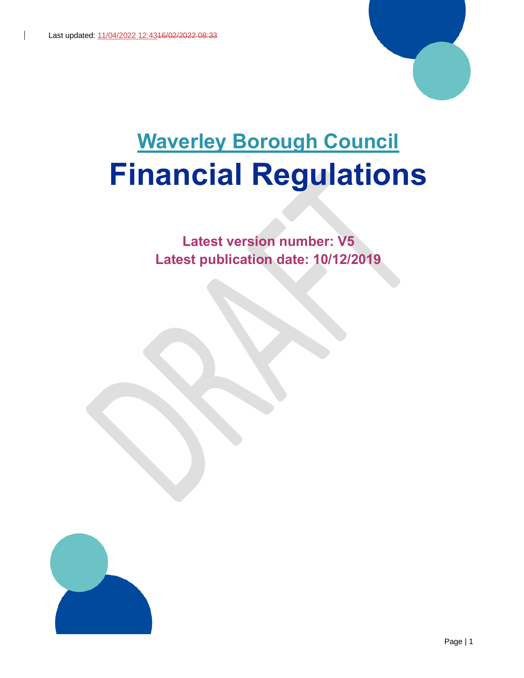

# **Waverley Borough Council Financial Regulations**

**Latest version number: V5 Latest publication date: 10/12/2019**

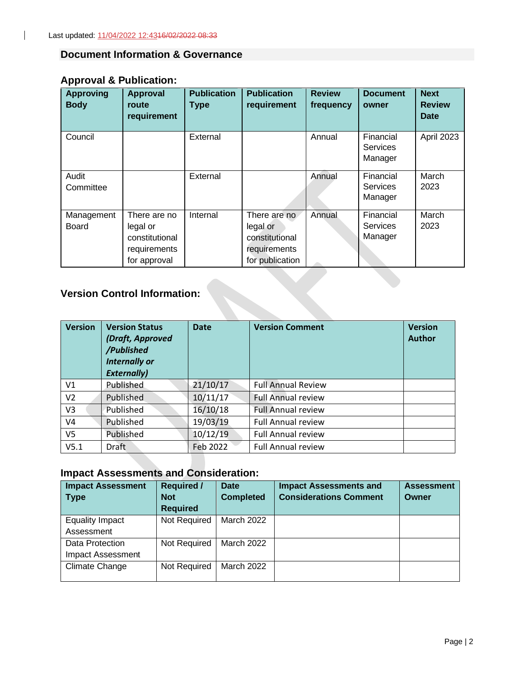#### <span id="page-1-0"></span>**Document Information & Governance**

# **Approval & Publication:**

 $\mathbf{I}$ 

| <b>Approving</b><br><b>Body</b> | <b>Approval</b><br>route<br>requirement                                    | <b>Publication</b><br><b>Type</b> | <b>Publication</b><br>requirement                                             | <b>Review</b><br>frequency | <b>Document</b><br>owner                | <b>Next</b><br><b>Review</b><br>Date |
|---------------------------------|----------------------------------------------------------------------------|-----------------------------------|-------------------------------------------------------------------------------|----------------------------|-----------------------------------------|--------------------------------------|
| Council                         |                                                                            | External                          |                                                                               | Annual                     | Financial<br><b>Services</b><br>Manager | April 2023                           |
| Audit<br>Committee              |                                                                            | External                          |                                                                               | Annual                     | Financial<br>Services<br>Manager        | March<br>2023                        |
| Management<br><b>Board</b>      | There are no<br>legal or<br>constitutional<br>requirements<br>for approval | Internal                          | There are no<br>legal or<br>constitutional<br>requirements<br>for publication | Annual                     | Financial<br><b>Services</b><br>Manager | March<br>2023                        |

# **Version Control Information:**

| <b>Version</b> | <b>Version Status</b><br>(Draft, Approved<br>/Published<br><b>Internally or</b><br><b>Externally)</b> | <b>Date</b> | <b>Version Comment</b>    | <b>Version</b><br><b>Author</b> |
|----------------|-------------------------------------------------------------------------------------------------------|-------------|---------------------------|---------------------------------|
| V <sub>1</sub> | Published                                                                                             | 21/10/17    | <b>Full Annual Review</b> |                                 |
| V <sub>2</sub> | Published                                                                                             | 10/11/17    | <b>Full Annual review</b> |                                 |
| V3             | Published                                                                                             | 16/10/18    | <b>Full Annual review</b> |                                 |
| V4             | Published                                                                                             | 19/03/19    | <b>Full Annual review</b> |                                 |
| V <sub>5</sub> | Published                                                                                             | 10/12/19    | <b>Full Annual review</b> |                                 |
| V5.1           | Draft                                                                                                 | Feb 2022    | <b>Full Annual review</b> |                                 |

# **Impact Assessments and Consideration:**

| <b>Impact Assessment</b> | <b>Required /</b> | Date              | <b>Impact Assessments and</b> | <b>Assessment</b> |
|--------------------------|-------------------|-------------------|-------------------------------|-------------------|
| <b>Type</b>              | <b>Not</b>        | <b>Completed</b>  | <b>Considerations Comment</b> | Owner             |
|                          | <b>Required</b>   |                   |                               |                   |
| <b>Equality Impact</b>   | Not Required      | <b>March 2022</b> |                               |                   |
| Assessment               |                   |                   |                               |                   |
| Data Protection          | Not Required      | <b>March 2022</b> |                               |                   |
| <b>Impact Assessment</b> |                   |                   |                               |                   |
| <b>Climate Change</b>    | Not Required      | <b>March 2022</b> |                               |                   |
|                          |                   |                   |                               |                   |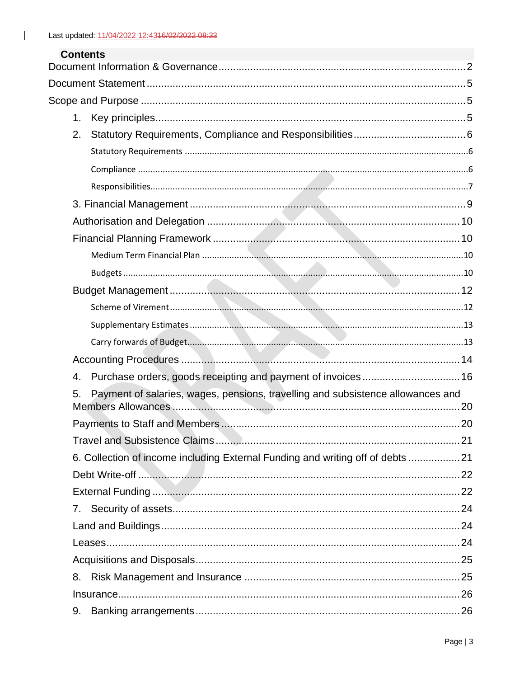$\mathbf{L}$ 

| <b>Contents</b> |                                                                                 |  |
|-----------------|---------------------------------------------------------------------------------|--|
|                 |                                                                                 |  |
|                 |                                                                                 |  |
|                 |                                                                                 |  |
| 1 <sub>1</sub>  |                                                                                 |  |
| 2.              |                                                                                 |  |
|                 |                                                                                 |  |
|                 |                                                                                 |  |
|                 |                                                                                 |  |
|                 |                                                                                 |  |
|                 |                                                                                 |  |
|                 |                                                                                 |  |
|                 |                                                                                 |  |
|                 |                                                                                 |  |
|                 |                                                                                 |  |
|                 |                                                                                 |  |
|                 |                                                                                 |  |
|                 |                                                                                 |  |
|                 |                                                                                 |  |
| 4.              | Purchase orders, goods receipting and payment of invoices 16                    |  |
| 5.              | Payment of salaries, wages, pensions, travelling and subsistence allowances and |  |
|                 |                                                                                 |  |
|                 |                                                                                 |  |
|                 | 6. Collection of income including External Funding and writing off of debts 21  |  |
|                 |                                                                                 |  |
|                 |                                                                                 |  |
| 7.              |                                                                                 |  |
|                 |                                                                                 |  |
|                 |                                                                                 |  |
|                 |                                                                                 |  |
| 8.              |                                                                                 |  |
|                 |                                                                                 |  |
| 9.              |                                                                                 |  |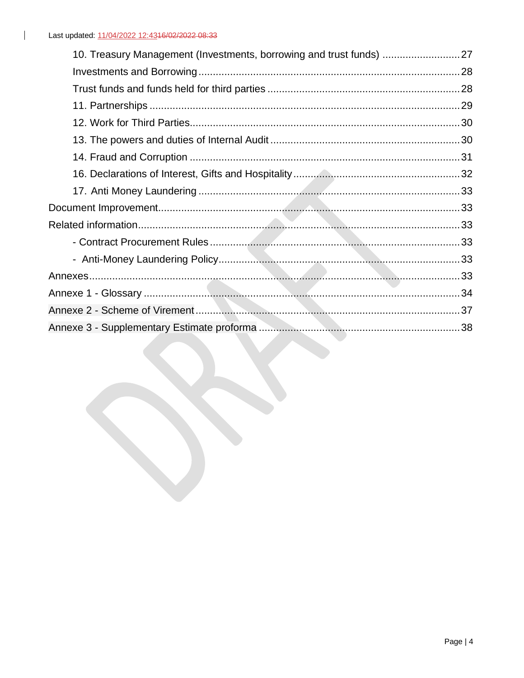| 10. Treasury Management (Investments, borrowing and trust funds) 27 |  |
|---------------------------------------------------------------------|--|
|                                                                     |  |
|                                                                     |  |
|                                                                     |  |
|                                                                     |  |
|                                                                     |  |
|                                                                     |  |
|                                                                     |  |
|                                                                     |  |
|                                                                     |  |
|                                                                     |  |
|                                                                     |  |
|                                                                     |  |
|                                                                     |  |
|                                                                     |  |
|                                                                     |  |
|                                                                     |  |
|                                                                     |  |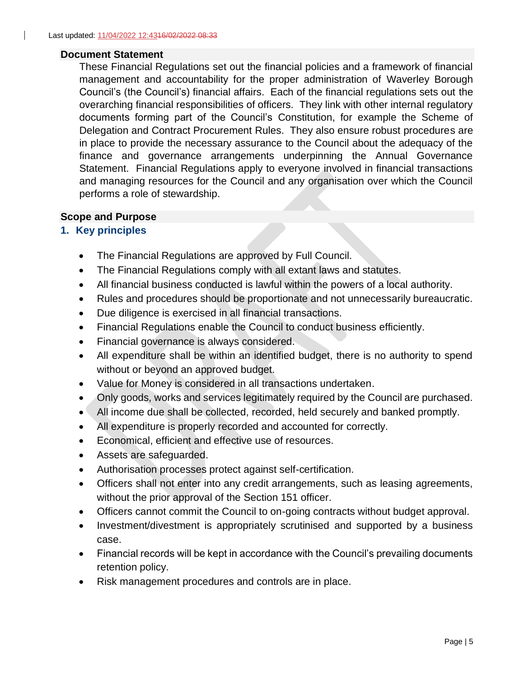#### <span id="page-4-0"></span>**Document Statement**

These Financial Regulations set out the financial policies and a framework of financial management and accountability for the proper administration of Waverley Borough Council's (the Council's) financial affairs. Each of the financial regulations sets out the overarching financial responsibilities of officers. They link with other internal regulatory documents forming part of the Council's Constitution, for example the Scheme of Delegation and Contract Procurement Rules. They also ensure robust procedures are in place to provide the necessary assurance to the Council about the adequacy of the finance and governance arrangements underpinning the Annual Governance Statement. Financial Regulations apply to everyone involved in financial transactions and managing resources for the Council and any organisation over which the Council performs a role of stewardship.

#### <span id="page-4-1"></span>**Scope and Purpose**

#### <span id="page-4-2"></span>**1. Key principles**

- The Financial Regulations are approved by Full Council.
- The Financial Regulations comply with all extant laws and statutes.
- All financial business conducted is lawful within the powers of a local authority.
- Rules and procedures should be proportionate and not unnecessarily bureaucratic.
- Due diligence is exercised in all financial transactions.
- Financial Regulations enable the Council to conduct business efficiently.
- Financial governance is always considered.
- All expenditure shall be within an identified budget, there is no authority to spend without or beyond an approved budget.
- Value for Money is considered in all transactions undertaken.
- Only goods, works and services legitimately required by the Council are purchased.
- All income due shall be collected, recorded, held securely and banked promptly.
- All expenditure is properly recorded and accounted for correctly.
- Economical, efficient and effective use of resources.
- Assets are safeguarded.
- Authorisation processes protect against self-certification.
- Officers shall not enter into any credit arrangements, such as leasing agreements, without the prior approval of the Section 151 officer.
- Officers cannot commit the Council to on-going contracts without budget approval.
- Investment/divestment is appropriately scrutinised and supported by a business case.
- Financial records will be kept in accordance with the Council's prevailing documents retention policy.
- Risk management procedures and controls are in place.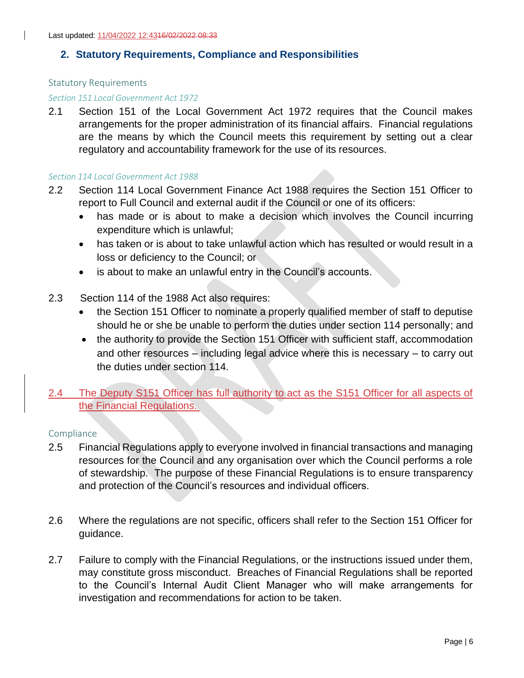#### <span id="page-5-0"></span>**2. Statutory Requirements, Compliance and Responsibilities**

#### <span id="page-5-1"></span>Statutory Requirements

#### *Section 151 Local Government Act 1972*

2.1 Section 151 of the Local Government Act 1972 requires that the Council makes arrangements for the proper administration of its financial affairs. Financial regulations are the means by which the Council meets this requirement by setting out a clear regulatory and accountability framework for the use of its resources.

#### *Section 114 Local Government Act 1988*

- 2.2 Section 114 Local Government Finance Act 1988 requires the Section 151 Officer to report to Full Council and external audit if the Council or one of its officers:
	- has made or is about to make a decision which involves the Council incurring expenditure which is unlawful;
	- has taken or is about to take unlawful action which has resulted or would result in a loss or deficiency to the Council; or
	- is about to make an unlawful entry in the Council's accounts.
- 2.3 Section 114 of the 1988 Act also requires:
	- the Section 151 Officer to nominate a properly qualified member of staff to deputise should he or she be unable to perform the duties under section 114 personally; and
	- the authority to provide the Section 151 Officer with sufficient staff, accommodation and other resources – including legal advice where this is necessary – to carry out the duties under section 114.
- 2.4 The Deputy S151 Officer has full authority to act as the S151 Officer for all aspects of the Financial Regulations.

#### <span id="page-5-2"></span>**Compliance**

- 2.5 Financial Regulations apply to everyone involved in financial transactions and managing resources for the Council and any organisation over which the Council performs a role of stewardship. The purpose of these Financial Regulations is to ensure transparency and protection of the Council's resources and individual officers.
- 2.6 Where the regulations are not specific, officers shall refer to the Section 151 Officer for guidance.
- 2.7 Failure to comply with the Financial Regulations, or the instructions issued under them, may constitute gross misconduct. Breaches of Financial Regulations shall be reported to the Council's Internal Audit Client Manager who will make arrangements for investigation and recommendations for action to be taken.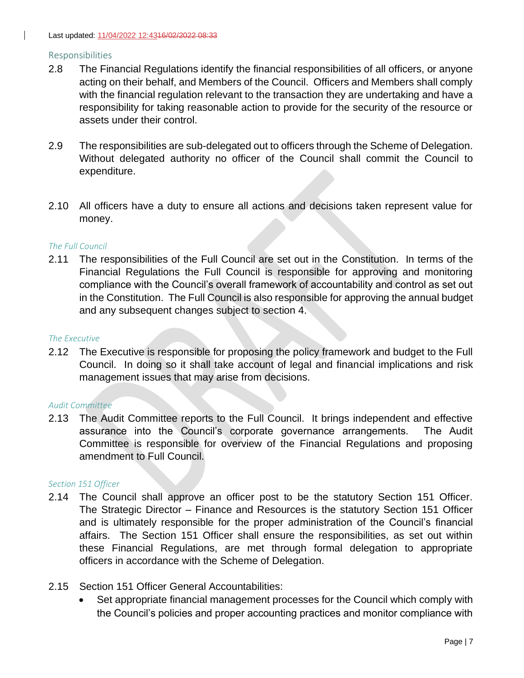#### <span id="page-6-0"></span>Responsibilities

- 2.8 The Financial Regulations identify the financial responsibilities of all officers, or anyone acting on their behalf, and Members of the Council. Officers and Members shall comply with the financial regulation relevant to the transaction they are undertaking and have a responsibility for taking reasonable action to provide for the security of the resource or assets under their control.
- 2.9 The responsibilities are sub-delegated out to officers through the Scheme of Delegation. Without delegated authority no officer of the Council shall commit the Council to expenditure.
- 2.10 All officers have a duty to ensure all actions and decisions taken represent value for money.

#### *The Full Council*

2.11 The responsibilities of the Full Council are set out in the Constitution. In terms of the Financial Regulations the Full Council is responsible for approving and monitoring compliance with the Council's overall framework of accountability and control as set out in the Constitution. The Full Council is also responsible for approving the annual budget and any subsequent changes subject to section 4.

#### *The Executive*

2.12 The Executive is responsible for proposing the policy framework and budget to the Full Council. In doing so it shall take account of legal and financial implications and risk management issues that may arise from decisions.

#### *Audit Committee*

2.13 The Audit Committee reports to the Full Council. It brings independent and effective assurance into the Council's corporate governance arrangements. The Audit Committee is responsible for overview of the Financial Regulations and proposing amendment to Full Council.

#### *Section 151 Officer*

- 2.14 The Council shall approve an officer post to be the statutory Section 151 Officer. The Strategic Director – Finance and Resources is the statutory Section 151 Officer and is ultimately responsible for the proper administration of the Council's financial affairs. The Section 151 Officer shall ensure the responsibilities, as set out within these Financial Regulations, are met through formal delegation to appropriate officers in accordance with the Scheme of Delegation.
- 2.15 Section 151 Officer General Accountabilities:
	- Set appropriate financial management processes for the Council which comply with the Council's policies and proper accounting practices and monitor compliance with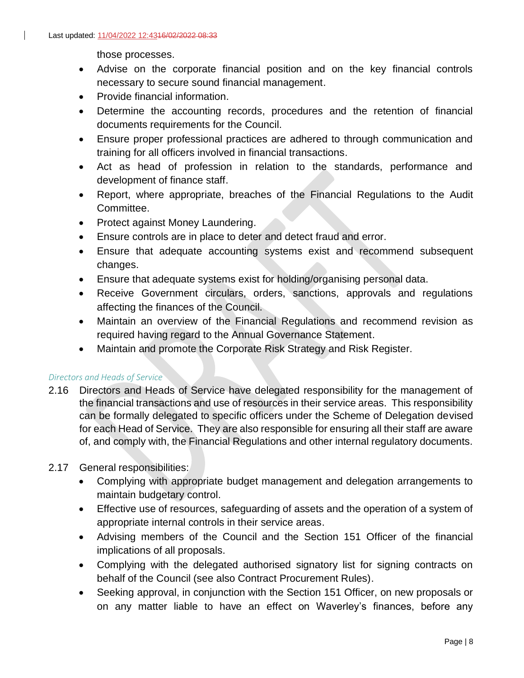those processes.

- Advise on the corporate financial position and on the key financial controls necessary to secure sound financial management.
- Provide financial information.
- Determine the accounting records, procedures and the retention of financial documents requirements for the Council.
- Ensure proper professional practices are adhered to through communication and training for all officers involved in financial transactions.
- Act as head of profession in relation to the standards, performance and development of finance staff.
- Report, where appropriate, breaches of the Financial Regulations to the Audit Committee.
- Protect against Money Laundering.
- Ensure controls are in place to deter and detect fraud and error.
- Ensure that adequate accounting systems exist and recommend subsequent changes.
- Ensure that adequate systems exist for holding/organising personal data.
- Receive Government circulars, orders, sanctions, approvals and regulations affecting the finances of the Council.
- Maintain an overview of the Financial Regulations and recommend revision as required having regard to the Annual Governance Statement.
- Maintain and promote the Corporate Risk Strategy and Risk Register.

#### *Directors and Heads of Service*

2.16 Directors and Heads of Service have delegated responsibility for the management of the financial transactions and use of resources in their service areas. This responsibility can be formally delegated to specific officers under the Scheme of Delegation devised for each Head of Service. They are also responsible for ensuring all their staff are aware of, and comply with, the Financial Regulations and other internal regulatory documents.

#### 2.17 General responsibilities:

- Complying with appropriate budget management and delegation arrangements to maintain budgetary control.
- Effective use of resources, safeguarding of assets and the operation of a system of appropriate internal controls in their service areas.
- Advising members of the Council and the Section 151 Officer of the financial implications of all proposals.
- Complying with the delegated authorised signatory list for signing contracts on behalf of the Council (see also Contract Procurement Rules).
- Seeking approval, in conjunction with the Section 151 Officer, on new proposals or on any matter liable to have an effect on Waverley's finances, before any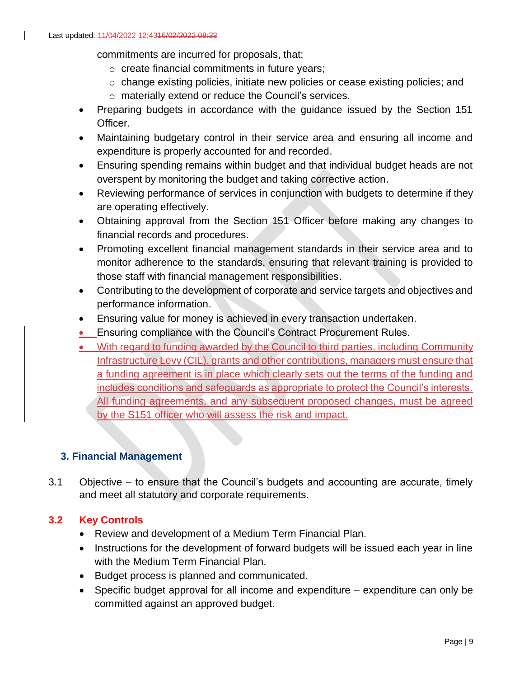commitments are incurred for proposals, that:

- o create financial commitments in future years;
- o change existing policies, initiate new policies or cease existing policies; and
- o materially extend or reduce the Council's services.
- Preparing budgets in accordance with the guidance issued by the Section 151 Officer.
- Maintaining budgetary control in their service area and ensuring all income and expenditure is properly accounted for and recorded.
- Ensuring spending remains within budget and that individual budget heads are not overspent by monitoring the budget and taking corrective action.
- Reviewing performance of services in conjunction with budgets to determine if they are operating effectively.
- Obtaining approval from the Section 151 Officer before making any changes to financial records and procedures.
- Promoting excellent financial management standards in their service area and to monitor adherence to the standards, ensuring that relevant training is provided to those staff with financial management responsibilities.
- Contributing to the development of corporate and service targets and objectives and performance information.
- Ensuring value for money is achieved in every transaction undertaken.
- Ensuring compliance with the Council's Contract Procurement Rules.
- With regard to funding awarded by the Council to third parties, including Community Infrastructure Levy (CIL), grants and other contributions, managers must ensure that a funding agreement is in place which clearly sets out the terms of the funding and includes conditions and safeguards as appropriate to protect the Council's interests. All funding agreements, and any subsequent proposed changes, must be agreed by the S151 officer who will assess the risk and impact.

# <span id="page-8-0"></span>**3. Financial Management**

3.1 Objective – to ensure that the Council's budgets and accounting are accurate, timely and meet all statutory and corporate requirements.

# **3.2 Key Controls**

- Review and development of a Medium Term Financial Plan.
- Instructions for the development of forward budgets will be issued each year in line with the Medium Term Financial Plan.
- Budget process is planned and communicated.
- Specific budget approval for all income and expenditure expenditure can only be committed against an approved budget.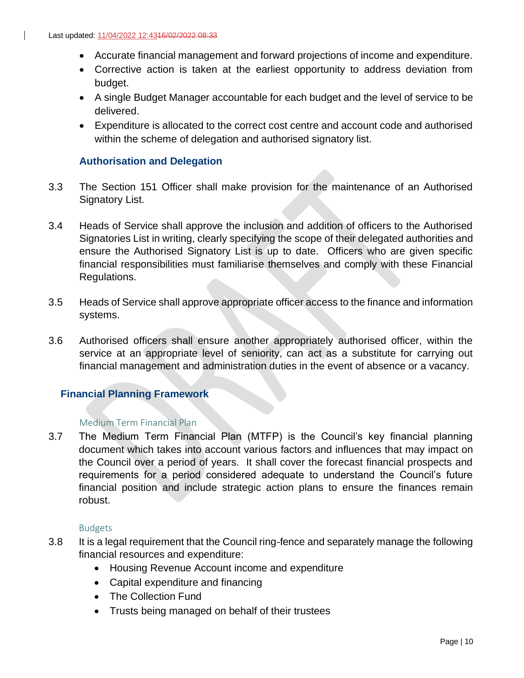- Accurate financial management and forward projections of income and expenditure.
- Corrective action is taken at the earliest opportunity to address deviation from budget.
- A single Budget Manager accountable for each budget and the level of service to be delivered.
- Expenditure is allocated to the correct cost centre and account code and authorised within the scheme of delegation and authorised signatory list.

## <span id="page-9-0"></span>**Authorisation and Delegation**

- 3.3 The Section 151 Officer shall make provision for the maintenance of an Authorised Signatory List.
- 3.4 Heads of Service shall approve the inclusion and addition of officers to the Authorised Signatories List in writing, clearly specifying the scope of their delegated authorities and ensure the Authorised Signatory List is up to date. Officers who are given specific financial responsibilities must familiarise themselves and comply with these Financial Regulations.
- 3.5 Heads of Service shall approve appropriate officer access to the finance and information systems.
- 3.6 Authorised officers shall ensure another appropriately authorised officer, within the service at an appropriate level of seniority, can act as a substitute for carrying out financial management and administration duties in the event of absence or a vacancy.

## <span id="page-9-1"></span>**Financial Planning Framework**

#### <span id="page-9-2"></span>Medium Term Financial Plan

3.7 The Medium Term Financial Plan (MTFP) is the Council's key financial planning document which takes into account various factors and influences that may impact on the Council over a period of years. It shall cover the forecast financial prospects and requirements for a period considered adequate to understand the Council's future financial position and include strategic action plans to ensure the finances remain robust.

#### Budgets

- <span id="page-9-3"></span>3.8 It is a legal requirement that the Council ring-fence and separately manage the following financial resources and expenditure:
	- Housing Revenue Account income and expenditure
	- Capital expenditure and financing
	- The Collection Fund
	- Trusts being managed on behalf of their trustees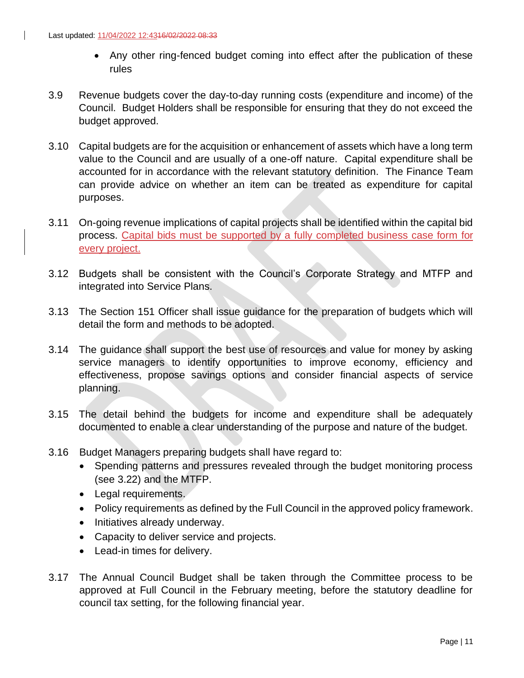- Any other ring-fenced budget coming into effect after the publication of these rules
- 3.9 Revenue budgets cover the day-to-day running costs (expenditure and income) of the Council. Budget Holders shall be responsible for ensuring that they do not exceed the budget approved.
- 3.10 Capital budgets are for the acquisition or enhancement of assets which have a long term value to the Council and are usually of a one-off nature. Capital expenditure shall be accounted for in accordance with the relevant statutory definition. The Finance Team can provide advice on whether an item can be treated as expenditure for capital purposes.
- 3.11 On-going revenue implications of capital projects shall be identified within the capital bid process. Capital bids must be supported by a fully completed business case form for every project.
- 3.12 Budgets shall be consistent with the Council's Corporate Strategy and MTFP and integrated into Service Plans.
- 3.13 The Section 151 Officer shall issue guidance for the preparation of budgets which will detail the form and methods to be adopted.
- 3.14 The guidance shall support the best use of resources and value for money by asking service managers to identify opportunities to improve economy, efficiency and effectiveness, propose savings options and consider financial aspects of service planning.
- 3.15 The detail behind the budgets for income and expenditure shall be adequately documented to enable a clear understanding of the purpose and nature of the budget.
- 3.16 Budget Managers preparing budgets shall have regard to:
	- Spending patterns and pressures revealed through the budget monitoring process (see 3.22) and the MTFP.
	- Legal requirements.
	- Policy requirements as defined by the Full Council in the approved policy framework.
	- Initiatives already underway.
	- Capacity to deliver service and projects.
	- Lead-in times for delivery.
- 3.17 The Annual Council Budget shall be taken through the Committee process to be approved at Full Council in the February meeting, before the statutory deadline for council tax setting, for the following financial year.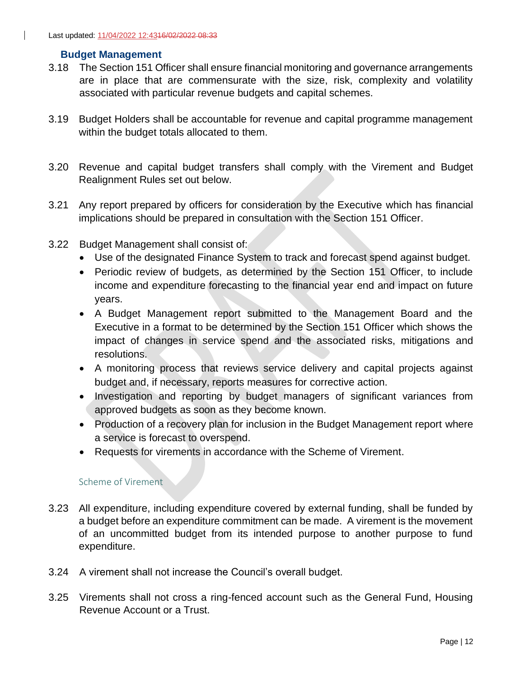#### <span id="page-11-0"></span>**Budget Management**

- 3.18 The Section 151 Officer shall ensure financial monitoring and governance arrangements are in place that are commensurate with the size, risk, complexity and volatility associated with particular revenue budgets and capital schemes.
- 3.19 Budget Holders shall be accountable for revenue and capital programme management within the budget totals allocated to them.
- 3.20 Revenue and capital budget transfers shall comply with the Virement and Budget Realignment Rules set out below.
- 3.21 Any report prepared by officers for consideration by the Executive which has financial implications should be prepared in consultation with the Section 151 Officer.
- 3.22 Budget Management shall consist of:
	- Use of the designated Finance System to track and forecast spend against budget.
	- Periodic review of budgets, as determined by the Section 151 Officer, to include income and expenditure forecasting to the financial year end and impact on future years.
	- A Budget Management report submitted to the Management Board and the Executive in a format to be determined by the Section 151 Officer which shows the impact of changes in service spend and the associated risks, mitigations and resolutions.
	- A monitoring process that reviews service delivery and capital projects against budget and, if necessary, reports measures for corrective action.
	- Investigation and reporting by budget managers of significant variances from approved budgets as soon as they become known.
	- Production of a recovery plan for inclusion in the Budget Management report where a service is forecast to overspend.
	- Requests for virements in accordance with the Scheme of Virement.

#### Scheme of Virement

- <span id="page-11-1"></span>3.23 All expenditure, including expenditure covered by external funding, shall be funded by a budget before an expenditure commitment can be made. A virement is the movement of an uncommitted budget from its intended purpose to another purpose to fund expenditure.
- 3.24 A virement shall not increase the Council's overall budget.
- 3.25 Virements shall not cross a ring-fenced account such as the General Fund, Housing Revenue Account or a Trust.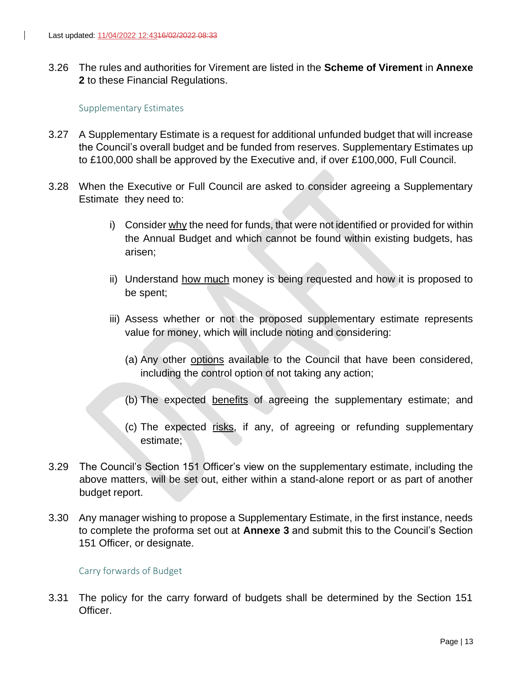$\mathbf{I}$ 

3.26 The rules and authorities for Virement are listed in the **Scheme of Virement** in **Annexe 2** to these Financial Regulations.

#### Supplementary Estimates

- <span id="page-12-0"></span>3.27 A Supplementary Estimate is a request for additional unfunded budget that will increase the Council's overall budget and be funded from reserves. Supplementary Estimates up to £100,000 shall be approved by the Executive and, if over £100,000, Full Council.
- 3.28 When the Executive or Full Council are asked to consider agreeing a Supplementary Estimate they need to:
	- i) Consider  $why$  the need for funds, that were not identified or provided for within the Annual Budget and which cannot be found within existing budgets, has arisen;
	- ii) Understand how much money is being requested and how it is proposed to be spent;
	- iii) Assess whether or not the proposed supplementary estimate represents value for money, which will include noting and considering:
		- (a) Any other options available to the Council that have been considered, including the control option of not taking any action;
		- (b) The expected benefits of agreeing the supplementary estimate; and
		- (c) The expected risks, if any, of agreeing or refunding supplementary estimate;
- 3.29 The Council's Section 151 Officer's view on the supplementary estimate, including the above matters, will be set out, either within a stand-alone report or as part of another budget report.
- 3.30 Any manager wishing to propose a Supplementary Estimate, in the first instance, needs to complete the proforma set out at **Annexe 3** and submit this to the Council's Section 151 Officer, or designate.

#### Carry forwards of Budget

<span id="page-12-1"></span>3.31 The policy for the carry forward of budgets shall be determined by the Section 151 Officer.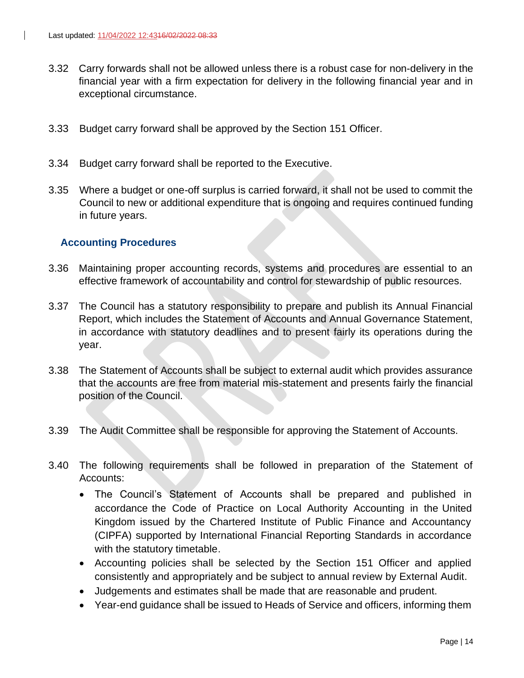- 3.32 Carry forwards shall not be allowed unless there is a robust case for non-delivery in the financial year with a firm expectation for delivery in the following financial year and in exceptional circumstance.
- 3.33 Budget carry forward shall be approved by the Section 151 Officer.
- 3.34 Budget carry forward shall be reported to the Executive.
- 3.35 Where a budget or one-off surplus is carried forward, it shall not be used to commit the Council to new or additional expenditure that is ongoing and requires continued funding in future years.

## <span id="page-13-0"></span>**Accounting Procedures**

- 3.36 Maintaining proper accounting records, systems and procedures are essential to an effective framework of accountability and control for stewardship of public resources.
- 3.37 The Council has a statutory responsibility to prepare and publish its Annual Financial Report, which includes the Statement of Accounts and Annual Governance Statement, in accordance with statutory deadlines and to present fairly its operations during the year.
- 3.38 The Statement of Accounts shall be subject to external audit which provides assurance that the accounts are free from material mis-statement and presents fairly the financial position of the Council.
- 3.39 The Audit Committee shall be responsible for approving the Statement of Accounts.
- 3.40 The following requirements shall be followed in preparation of the Statement of Accounts:
	- The Council's Statement of Accounts shall be prepared and published in accordance the Code of Practice on Local Authority Accounting in the United Kingdom issued by the Chartered Institute of Public Finance and Accountancy (CIPFA) supported by International Financial Reporting Standards in accordance with the statutory timetable.
	- Accounting policies shall be selected by the Section 151 Officer and applied consistently and appropriately and be subject to annual review by External Audit.
	- Judgements and estimates shall be made that are reasonable and prudent.
	- Year-end guidance shall be issued to Heads of Service and officers, informing them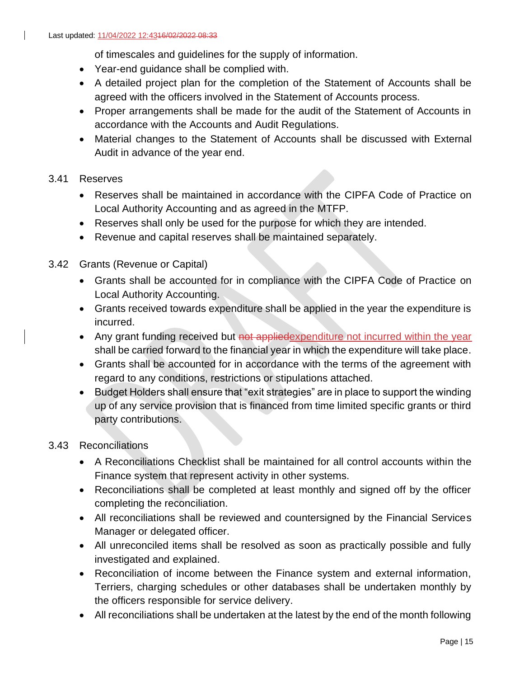of timescales and guidelines for the supply of information.

- Year-end guidance shall be complied with.
- A detailed project plan for the completion of the Statement of Accounts shall be agreed with the officers involved in the Statement of Accounts process.
- Proper arrangements shall be made for the audit of the Statement of Accounts in accordance with the Accounts and Audit Regulations.
- Material changes to the Statement of Accounts shall be discussed with External Audit in advance of the year end.

## 3.41 Reserves

- Reserves shall be maintained in accordance with the CIPFA Code of Practice on Local Authority Accounting and as agreed in the MTFP.
- Reserves shall only be used for the purpose for which they are intended.
- Revenue and capital reserves shall be maintained separately.
- 3.42 Grants (Revenue or Capital)
	- Grants shall be accounted for in compliance with the CIPFA Code of Practice on Local Authority Accounting.
	- Grants received towards expenditure shall be applied in the year the expenditure is incurred.
	- Any grant funding received but not applied expenditure not incurred within the year shall be carried forward to the financial year in which the expenditure will take place.
	- Grants shall be accounted for in accordance with the terms of the agreement with regard to any conditions, restrictions or stipulations attached.
	- Budget Holders shall ensure that "exit strategies" are in place to support the winding up of any service provision that is financed from time limited specific grants or third party contributions.

## 3.43 Reconciliations

- A Reconciliations Checklist shall be maintained for all control accounts within the Finance system that represent activity in other systems.
- Reconciliations shall be completed at least monthly and signed off by the officer completing the reconciliation.
- All reconciliations shall be reviewed and countersigned by the Financial Services Manager or delegated officer.
- All unreconciled items shall be resolved as soon as practically possible and fully investigated and explained.
- Reconciliation of income between the Finance system and external information, Terriers, charging schedules or other databases shall be undertaken monthly by the officers responsible for service delivery.
- All reconciliations shall be undertaken at the latest by the end of the month following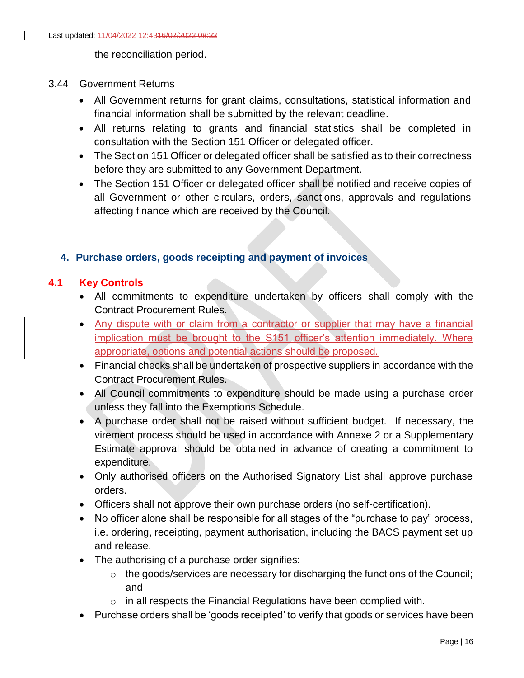the reconciliation period.

#### 3.44 Government Returns

- All Government returns for grant claims, consultations, statistical information and financial information shall be submitted by the relevant deadline.
- All returns relating to grants and financial statistics shall be completed in consultation with the Section 151 Officer or delegated officer.
- The Section 151 Officer or delegated officer shall be satisfied as to their correctness before they are submitted to any Government Department.
- The Section 151 Officer or delegated officer shall be notified and receive copies of all Government or other circulars, orders, sanctions, approvals and regulations affecting finance which are received by the Council.

## <span id="page-15-0"></span>**4. Purchase orders, goods receipting and payment of invoices**

## **4.1 Key Controls**

- All commitments to expenditure undertaken by officers shall comply with the Contract Procurement Rules.
- Any dispute with or claim from a contractor or supplier that may have a financial implication must be brought to the S151 officer's attention immediately. Where appropriate, options and potential actions should be proposed.
- Financial checks shall be undertaken of prospective suppliers in accordance with the Contract Procurement Rules.
- All Council commitments to expenditure should be made using a purchase order unless they fall into the Exemptions Schedule.
- A purchase order shall not be raised without sufficient budget. If necessary, the virement process should be used in accordance with Annexe 2 or a Supplementary Estimate approval should be obtained in advance of creating a commitment to expenditure.
- Only authorised officers on the Authorised Signatory List shall approve purchase orders.
- Officers shall not approve their own purchase orders (no self-certification).
- No officer alone shall be responsible for all stages of the "purchase to pay" process, i.e. ordering, receipting, payment authorisation, including the BACS payment set up and release.
- The authorising of a purchase order signifies:
	- o the goods/services are necessary for discharging the functions of the Council; and
	- $\circ$  in all respects the Financial Regulations have been complied with.
- Purchase orders shall be 'goods receipted' to verify that goods or services have been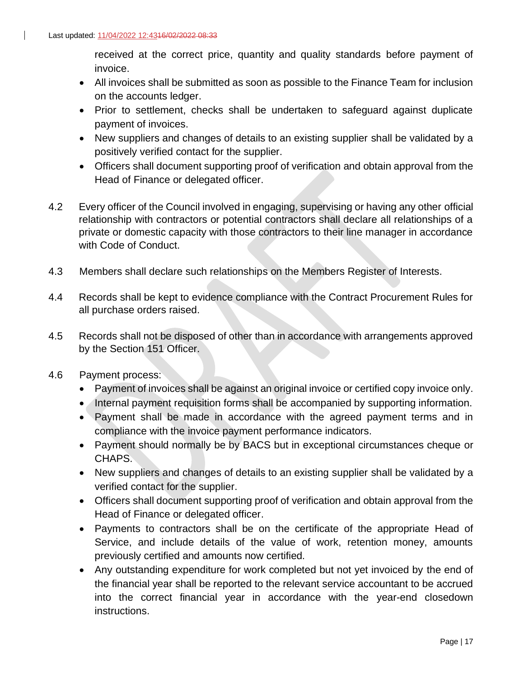received at the correct price, quantity and quality standards before payment of invoice.

- All invoices shall be submitted as soon as possible to the Finance Team for inclusion on the accounts ledger.
- Prior to settlement, checks shall be undertaken to safeguard against duplicate payment of invoices.
- New suppliers and changes of details to an existing supplier shall be validated by a positively verified contact for the supplier.
- Officers shall document supporting proof of verification and obtain approval from the Head of Finance or delegated officer.
- 4.2 Every officer of the Council involved in engaging, supervising or having any other official relationship with contractors or potential contractors shall declare all relationships of a private or domestic capacity with those contractors to their line manager in accordance with Code of Conduct.
- 4.3 Members shall declare such relationships on the Members Register of Interests.
- 4.4 Records shall be kept to evidence compliance with the Contract Procurement Rules for all purchase orders raised.
- 4.5 Records shall not be disposed of other than in accordance with arrangements approved by the Section 151 Officer.
- 4.6 Payment process:
	- Payment of invoices shall be against an original invoice or certified copy invoice only.
	- Internal payment requisition forms shall be accompanied by supporting information.
	- Payment shall be made in accordance with the agreed payment terms and in compliance with the invoice payment performance indicators.
	- Payment should normally be by BACS but in exceptional circumstances cheque or CHAPS.
	- New suppliers and changes of details to an existing supplier shall be validated by a verified contact for the supplier.
	- Officers shall document supporting proof of verification and obtain approval from the Head of Finance or delegated officer.
	- Payments to contractors shall be on the certificate of the appropriate Head of Service, and include details of the value of work, retention money, amounts previously certified and amounts now certified.
	- Any outstanding expenditure for work completed but not yet invoiced by the end of the financial year shall be reported to the relevant service accountant to be accrued into the correct financial year in accordance with the year-end closedown instructions.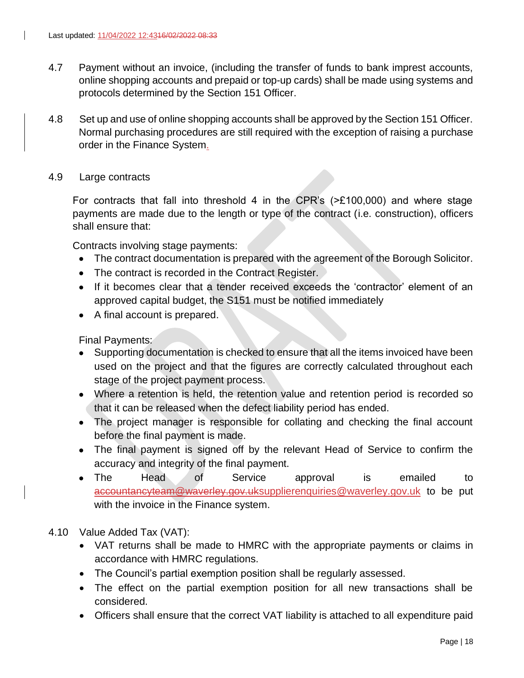- 4.7 Payment without an invoice, (including the transfer of funds to bank imprest accounts, online shopping accounts and prepaid or top-up cards) shall be made using systems and protocols determined by the Section 151 Officer.
- 4.8 Set up and use of online shopping accounts shall be approved by the Section 151 Officer. Normal purchasing procedures are still required with the exception of raising a purchase order in the Finance System.
- 4.9 Large contracts

For contracts that fall into threshold 4 in the CPR's (>£100,000) and where stage payments are made due to the length or type of the contract (i.e. construction), officers shall ensure that:

Contracts involving stage payments:

- The contract documentation is prepared with the agreement of the Borough Solicitor.
- The contract is recorded in the Contract Register.
- If it becomes clear that a tender received exceeds the 'contractor' element of an approved capital budget, the S151 must be notified immediately
- A final account is prepared.

Final Payments:

- Supporting documentation is checked to ensure that all the items invoiced have been used on the project and that the figures are correctly calculated throughout each stage of the project payment process.
- Where a retention is held, the retention value and retention period is recorded so that it can be released when the defect liability period has ended.
- The project manager is responsible for collating and checking the final account before the final payment is made.
- The final payment is signed off by the relevant Head of Service to confirm the accuracy and integrity of the final payment.
- The Head of Service approval is emailed to accountancyteam@waverley.gov.u[ksupplierenquiries@waverley.gov.uk](mailto:accountancyteam@waverley.gov.uk) to be put with the invoice in the Finance system.
- 4.10 Value Added Tax (VAT):
	- VAT returns shall be made to HMRC with the appropriate payments or claims in accordance with HMRC regulations.
	- The Council's partial exemption position shall be regularly assessed.
	- The effect on the partial exemption position for all new transactions shall be considered.
	- Officers shall ensure that the correct VAT liability is attached to all expenditure paid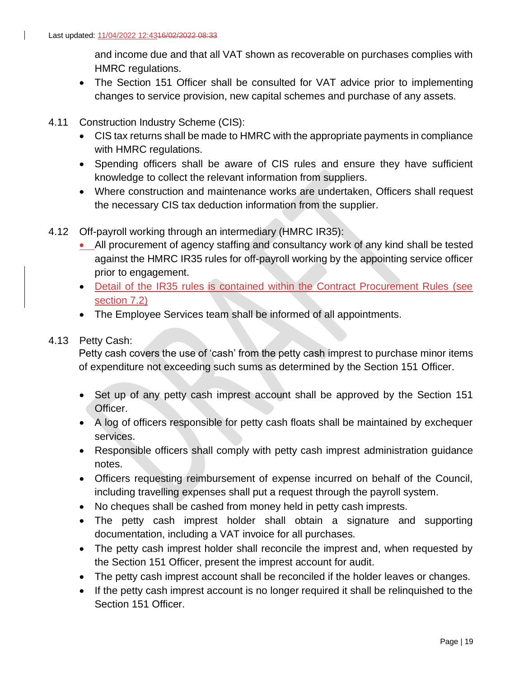and income due and that all VAT shown as recoverable on purchases complies with HMRC regulations.

- The Section 151 Officer shall be consulted for VAT advice prior to implementing changes to service provision, new capital schemes and purchase of any assets.
- 4.11 Construction Industry Scheme (CIS):
	- CIS tax returns shall be made to HMRC with the appropriate payments in compliance with HMRC regulations.
	- Spending officers shall be aware of CIS rules and ensure they have sufficient knowledge to collect the relevant information from suppliers.
	- Where construction and maintenance works are undertaken, Officers shall request the necessary CIS tax deduction information from the supplier.
- 4.12 Off-payroll working through an intermediary (HMRC IR35):
	- All procurement of agency staffing and consultancy work of any kind shall be tested against the HMRC IR35 rules for off-payroll working by the appointing service officer prior to engagement.
	- Detail of the IR35 rules is contained within the Contract Procurement Rules (see section 7.2)
	- The Employee Services team shall be informed of all appointments.

#### 4.13 Petty Cash:

Petty cash covers the use of 'cash' from the petty cash imprest to purchase minor items of expenditure not exceeding such sums as determined by the Section 151 Officer.

- Set up of any petty cash imprest account shall be approved by the Section 151 Officer.
- A log of officers responsible for petty cash floats shall be maintained by exchequer services.
- Responsible officers shall comply with petty cash imprest administration guidance notes.
- Officers requesting reimbursement of expense incurred on behalf of the Council, including travelling expenses shall put a request through the payroll system.
- No cheques shall be cashed from money held in petty cash imprests.
- The petty cash imprest holder shall obtain a signature and supporting documentation, including a VAT invoice for all purchases.
- The petty cash imprest holder shall reconcile the imprest and, when requested by the Section 151 Officer, present the imprest account for audit.
- The petty cash imprest account shall be reconciled if the holder leaves or changes.
- If the petty cash imprest account is no longer required it shall be relinquished to the Section 151 Officer.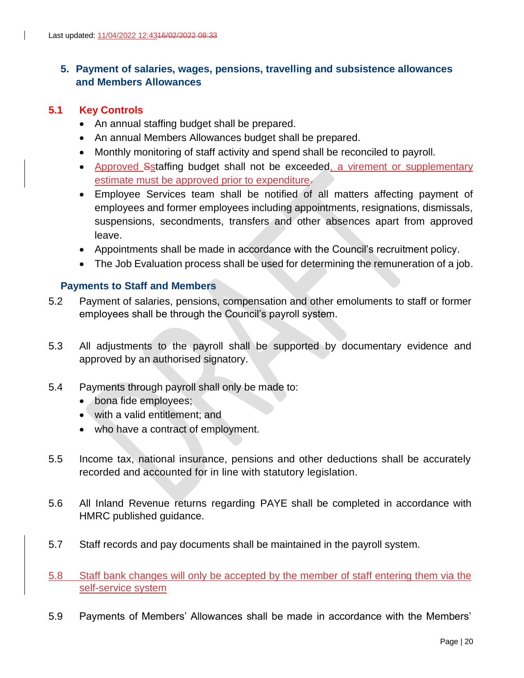# <span id="page-19-0"></span>**5. Payment of salaries, wages, pensions, travelling and subsistence allowances and Members Allowances**

## **5.1 Key Controls**

- An annual staffing budget shall be prepared.
- An annual Members Allowances budget shall be prepared.
- Monthly monitoring of staff activity and spend shall be reconciled to payroll.
- Approved Sstaffing budget shall not be exceeded, a virement or supplementary estimate must be approved prior to expenditure.
- Employee Services team shall be notified of all matters affecting payment of employees and former employees including appointments, resignations, dismissals, suspensions, secondments, transfers and other absences apart from approved leave.
- Appointments shall be made in accordance with the Council's recruitment policy.
- The Job Evaluation process shall be used for determining the remuneration of a job.

#### <span id="page-19-1"></span>**Payments to Staff and Members**

- 5.2 Payment of salaries, pensions, compensation and other emoluments to staff or former employees shall be through the Council's payroll system.
- 5.3 All adjustments to the payroll shall be supported by documentary evidence and approved by an authorised signatory.
- 5.4 Payments through payroll shall only be made to:
	- bona fide employees;
	- with a valid entitlement; and
	- who have a contract of employment.
- 5.5 Income tax, national insurance, pensions and other deductions shall be accurately recorded and accounted for in line with statutory legislation.
- 5.6 All Inland Revenue returns regarding PAYE shall be completed in accordance with HMRC published guidance.
- 5.7 Staff records and pay documents shall be maintained in the payroll system.
- 5.8 Staff bank changes will only be accepted by the member of staff entering them via the self-service system
- 5.9 Payments of Members' Allowances shall be made in accordance with the Members'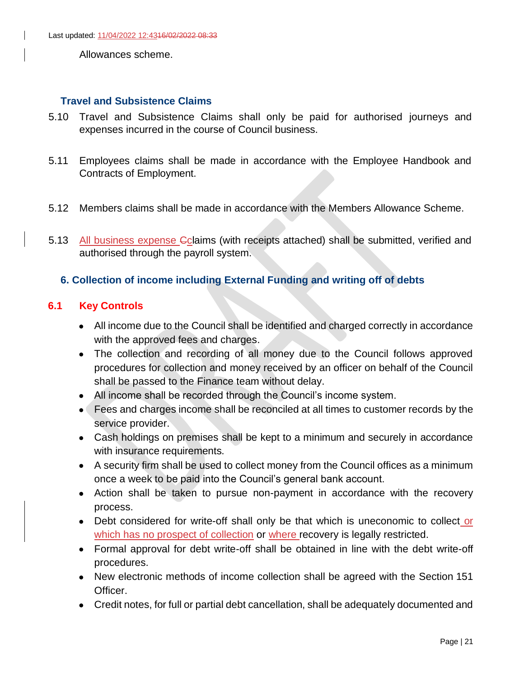Allowances scheme.

#### <span id="page-20-0"></span>**Travel and Subsistence Claims**

- 5.10 Travel and Subsistence Claims shall only be paid for authorised journeys and expenses incurred in the course of Council business.
- 5.11 Employees claims shall be made in accordance with the Employee Handbook and Contracts of Employment.
- 5.12 Members claims shall be made in accordance with the Members Allowance Scheme.
- 5.13 All business expense Cclaims (with receipts attached) shall be submitted, verified and authorised through the payroll system.

## <span id="page-20-1"></span>**6. Collection of income including External Funding and writing off of debts**

## **6.1 Key Controls**

- All income due to the Council shall be identified and charged correctly in accordance with the approved fees and charges.
- The collection and recording of all money due to the Council follows approved procedures for collection and money received by an officer on behalf of the Council shall be passed to the Finance team without delay.
- All income shall be recorded through the Council's income system.
- Fees and charges income shall be reconciled at all times to customer records by the service provider.
- Cash holdings on premises shall be kept to a minimum and securely in accordance with insurance requirements.
- A security firm shall be used to collect money from the Council offices as a minimum once a week to be paid into the Council's general bank account.
- Action shall be taken to pursue non-payment in accordance with the recovery process.
- Debt considered for write-off shall only be that which is uneconomic to collect or which has no prospect of collection or where recovery is legally restricted.
- Formal approval for debt write-off shall be obtained in line with the debt write-off procedures.
- New electronic methods of income collection shall be agreed with the Section 151 Officer.
- Credit notes, for full or partial debt cancellation, shall be adequately documented and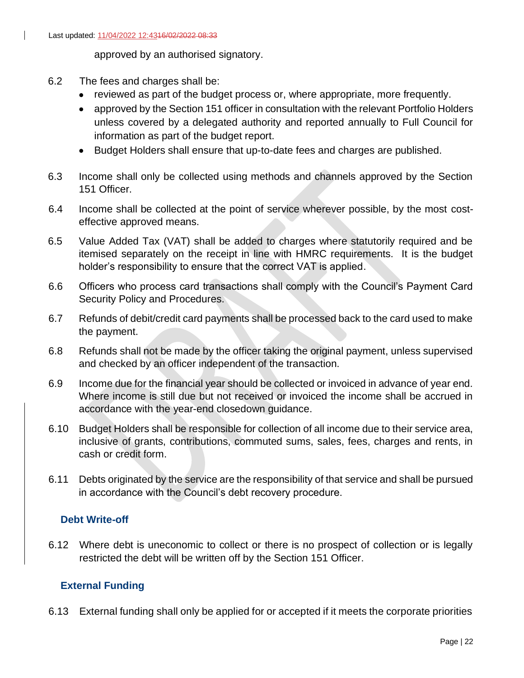approved by an authorised signatory.

- 6.2 The fees and charges shall be:
	- reviewed as part of the budget process or, where appropriate, more frequently.
	- approved by the Section 151 officer in consultation with the relevant Portfolio Holders unless covered by a delegated authority and reported annually to Full Council for information as part of the budget report.
	- Budget Holders shall ensure that up-to-date fees and charges are published.
- 6.3 Income shall only be collected using methods and channels approved by the Section 151 Officer.
- 6.4 Income shall be collected at the point of service wherever possible, by the most costeffective approved means.
- 6.5 Value Added Tax (VAT) shall be added to charges where statutorily required and be itemised separately on the receipt in line with HMRC requirements. It is the budget holder's responsibility to ensure that the correct VAT is applied.
- 6.6 Officers who process card transactions shall comply with the Council's Payment Card Security Policy and Procedures.
- 6.7 Refunds of debit/credit card payments shall be processed back to the card used to make the payment.
- 6.8 Refunds shall not be made by the officer taking the original payment, unless supervised and checked by an officer independent of the transaction.
- 6.9 Income due for the financial year should be collected or invoiced in advance of year end. Where income is still due but not received or invoiced the income shall be accrued in accordance with the year-end closedown guidance.
- 6.10 Budget Holders shall be responsible for collection of all income due to their service area, inclusive of grants, contributions, commuted sums, sales, fees, charges and rents, in cash or credit form.
- 6.11 Debts originated by the service are the responsibility of that service and shall be pursued in accordance with the Council's debt recovery procedure.

## <span id="page-21-0"></span>**Debt Write-off**

6.12 Where debt is uneconomic to collect or there is no prospect of collection or is legally restricted the debt will be written off by the Section 151 Officer.

## <span id="page-21-1"></span>**External Funding**

6.13 External funding shall only be applied for or accepted if it meets the corporate priorities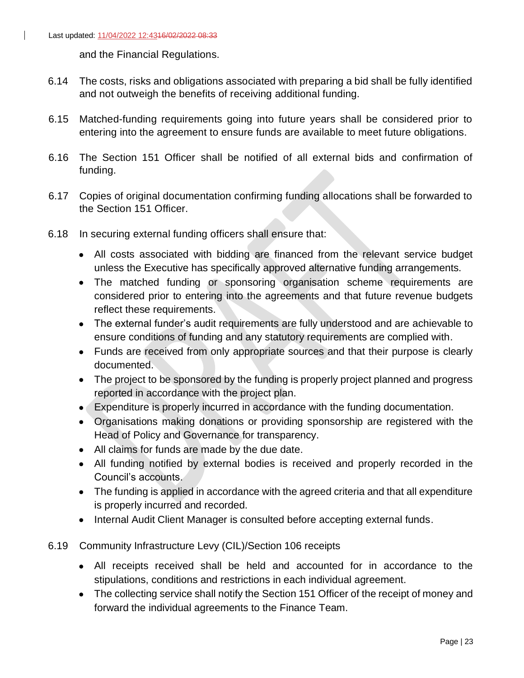and the Financial Regulations.

- 6.14 The costs, risks and obligations associated with preparing a bid shall be fully identified and not outweigh the benefits of receiving additional funding.
- 6.15 Matched-funding requirements going into future years shall be considered prior to entering into the agreement to ensure funds are available to meet future obligations.
- 6.16 The Section 151 Officer shall be notified of all external bids and confirmation of funding.
- 6.17 Copies of original documentation confirming funding allocations shall be forwarded to the Section 151 Officer.
- 6.18 In securing external funding officers shall ensure that:
	- All costs associated with bidding are financed from the relevant service budget unless the Executive has specifically approved alternative funding arrangements.
	- The matched funding or sponsoring organisation scheme requirements are considered prior to entering into the agreements and that future revenue budgets reflect these requirements.
	- The external funder's audit requirements are fully understood and are achievable to ensure conditions of funding and any statutory requirements are complied with.
	- Funds are received from only appropriate sources and that their purpose is clearly documented.
	- The project to be sponsored by the funding is properly project planned and progress reported in accordance with the project plan.
	- Expenditure is properly incurred in accordance with the funding documentation.
	- Organisations making donations or providing sponsorship are registered with the Head of Policy and Governance for transparency.
	- All claims for funds are made by the due date.
	- All funding notified by external bodies is received and properly recorded in the Council's accounts.
	- The funding is applied in accordance with the agreed criteria and that all expenditure is properly incurred and recorded.
	- Internal Audit Client Manager is consulted before accepting external funds.
- 6.19 Community Infrastructure Levy (CIL)/Section 106 receipts
	- All receipts received shall be held and accounted for in accordance to the stipulations, conditions and restrictions in each individual agreement.
	- The collecting service shall notify the Section 151 Officer of the receipt of money and forward the individual agreements to the Finance Team.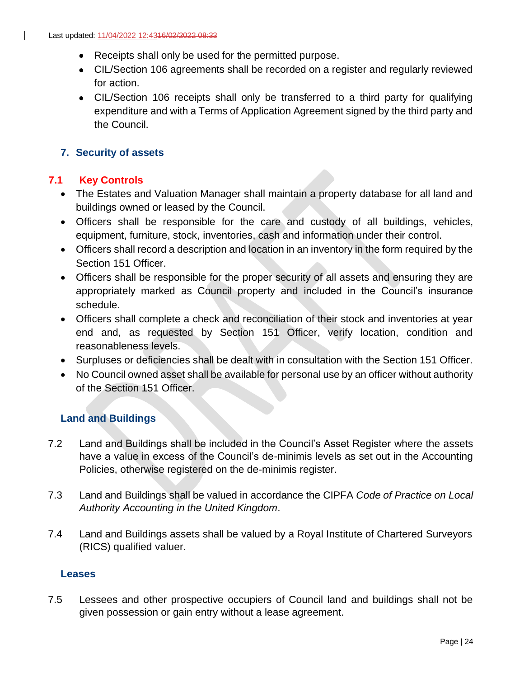- Receipts shall only be used for the permitted purpose.
- CIL/Section 106 agreements shall be recorded on a register and regularly reviewed for action.
- CIL/Section 106 receipts shall only be transferred to a third party for qualifying expenditure and with a Terms of Application Agreement signed by the third party and the Council.

# <span id="page-23-0"></span>**7. Security of assets**

# **7.1 Key Controls**

- The Estates and Valuation Manager shall maintain a property database for all land and buildings owned or leased by the Council.
- Officers shall be responsible for the care and custody of all buildings, vehicles, equipment, furniture, stock, inventories, cash and information under their control.
- Officers shall record a description and location in an inventory in the form required by the Section 151 Officer.
- Officers shall be responsible for the proper security of all assets and ensuring they are appropriately marked as Council property and included in the Council's insurance schedule.
- Officers shall complete a check and reconciliation of their stock and inventories at year end and, as requested by Section 151 Officer, verify location, condition and reasonableness levels.
- Surpluses or deficiencies shall be dealt with in consultation with the Section 151 Officer.
- No Council owned asset shall be available for personal use by an officer without authority of the Section 151 Officer.

# <span id="page-23-1"></span>**Land and Buildings**

- 7.2 Land and Buildings shall be included in the Council's Asset Register where the assets have a value in excess of the Council's de-minimis levels as set out in the Accounting Policies, otherwise registered on the de-minimis register.
- 7.3 Land and Buildings shall be valued in accordance the CIPFA *Code of Practice on Local Authority Accounting in the United Kingdom*.
- 7.4 Land and Buildings assets shall be valued by a Royal Institute of Chartered Surveyors (RICS) qualified valuer.

## <span id="page-23-2"></span>**Leases**

7.5 Lessees and other prospective occupiers of Council land and buildings shall not be given possession or gain entry without a lease agreement.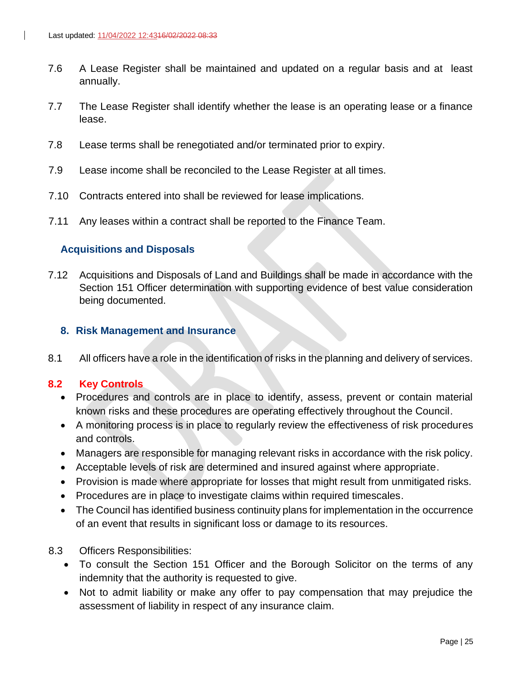- 7.6 A Lease Register shall be maintained and updated on a regular basis and at least annually.
- 7.7 The Lease Register shall identify whether the lease is an operating lease or a finance lease.
- 7.8 Lease terms shall be renegotiated and/or terminated prior to expiry.
- 7.9 Lease income shall be reconciled to the Lease Register at all times.
- 7.10 Contracts entered into shall be reviewed for lease implications.
- 7.11 Any leases within a contract shall be reported to the Finance Team.

#### <span id="page-24-0"></span>**Acquisitions and Disposals**

7.12 Acquisitions and Disposals of Land and Buildings shall be made in accordance with the Section 151 Officer determination with supporting evidence of best value consideration being documented.

#### <span id="page-24-1"></span>**8. Risk Management and Insurance**

8.1 All officers have a role in the identification of risks in the planning and delivery of services.

#### **8.2 Key Controls**

- Procedures and controls are in place to identify, assess, prevent or contain material known risks and these procedures are operating effectively throughout the Council.
- A monitoring process is in place to regularly review the effectiveness of risk procedures and controls.
- Managers are responsible for managing relevant risks in accordance with the risk policy.
- Acceptable levels of risk are determined and insured against where appropriate.
- Provision is made where appropriate for losses that might result from unmitigated risks.
- Procedures are in place to investigate claims within required timescales.
- The Council has identified business continuity plans for implementation in the occurrence of an event that results in significant loss or damage to its resources.
- 8.3 Officers Responsibilities:
	- To consult the Section 151 Officer and the Borough Solicitor on the terms of any indemnity that the authority is requested to give.
	- Not to admit liability or make any offer to pay compensation that may prejudice the assessment of liability in respect of any insurance claim.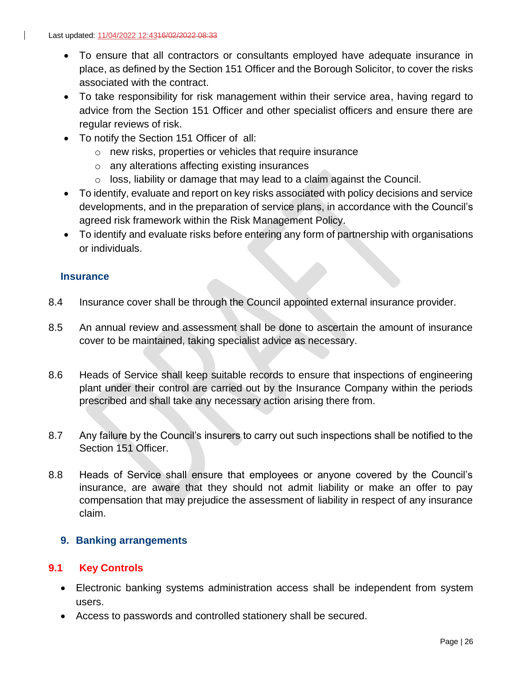- To ensure that all contractors or consultants employed have adequate insurance in place, as defined by the Section 151 Officer and the Borough Solicitor, to cover the risks associated with the contract.
- To take responsibility for risk management within their service area, having regard to advice from the Section 151 Officer and other specialist officers and ensure there are regular reviews of risk.
- To notify the Section 151 Officer of all:
	- o new risks, properties or vehicles that require insurance
	- o any alterations affecting existing insurances
	- o loss, liability or damage that may lead to a claim against the Council.
- To identify, evaluate and report on key risks associated with policy decisions and service developments, and in the preparation of service plans, in accordance with the Council's agreed risk framework within the Risk Management Policy.
- To identify and evaluate risks before entering any form of partnership with organisations or individuals.

## <span id="page-25-0"></span>**Insurance**

- 8.4 Insurance cover shall be through the Council appointed external insurance provider.
- 8.5 An annual review and assessment shall be done to ascertain the amount of insurance cover to be maintained, taking specialist advice as necessary.
- 8.6 Heads of Service shall keep suitable records to ensure that inspections of engineering plant under their control are carried out by the Insurance Company within the periods prescribed and shall take any necessary action arising there from.
- 8.7 Any failure by the Council's insurers to carry out such inspections shall be notified to the Section 151 Officer.
- 8.8 Heads of Service shall ensure that employees or anyone covered by the Council's insurance, are aware that they should not admit liability or make an offer to pay compensation that may prejudice the assessment of liability in respect of any insurance claim.

## <span id="page-25-1"></span>**9. Banking arrangements**

## **9.1 Key Controls**

- Electronic banking systems administration access shall be independent from system users.
- Access to passwords and controlled stationery shall be secured.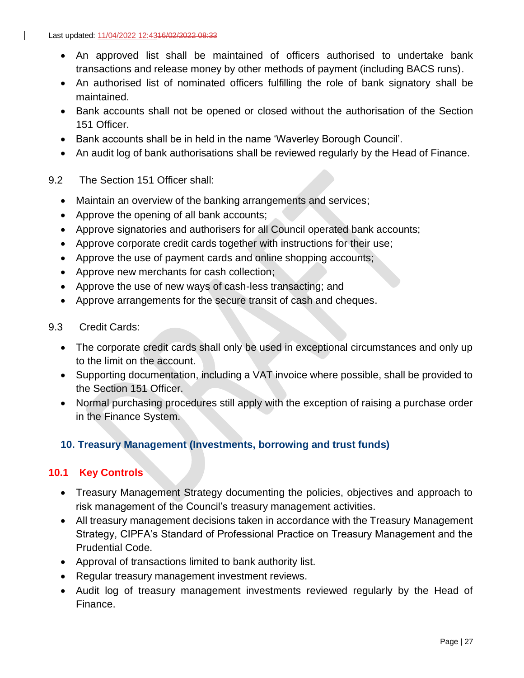- An approved list shall be maintained of officers authorised to undertake bank transactions and release money by other methods of payment (including BACS runs).
- An authorised list of nominated officers fulfilling the role of bank signatory shall be maintained.
- Bank accounts shall not be opened or closed without the authorisation of the Section 151 Officer.
- Bank accounts shall be in held in the name 'Waverley Borough Council'.
- An audit log of bank authorisations shall be reviewed regularly by the Head of Finance.
- 9.2 The Section 151 Officer shall:
	- Maintain an overview of the banking arrangements and services;
	- Approve the opening of all bank accounts;
	- Approve signatories and authorisers for all Council operated bank accounts;
	- Approve corporate credit cards together with instructions for their use;
	- Approve the use of payment cards and online shopping accounts;
	- Approve new merchants for cash collection;
	- Approve the use of new ways of cash-less transacting; and
	- Approve arrangements for the secure transit of cash and cheques.
- 9.3 Credit Cards:
	- The corporate credit cards shall only be used in exceptional circumstances and only up to the limit on the account.
	- Supporting documentation, including a VAT invoice where possible, shall be provided to the Section 151 Officer.
	- Normal purchasing procedures still apply with the exception of raising a purchase order in the Finance System.

# <span id="page-26-0"></span>**10. Treasury Management (Investments, borrowing and trust funds)**

## **10.1 Key Controls**

- Treasury Management Strategy documenting the policies, objectives and approach to risk management of the Council's treasury management activities.
- All treasury management decisions taken in accordance with the Treasury Management Strategy, CIPFA's Standard of Professional Practice on Treasury Management and the Prudential Code.
- Approval of transactions limited to bank authority list.
- Regular treasury management investment reviews.
- Audit log of treasury management investments reviewed regularly by the Head of Finance.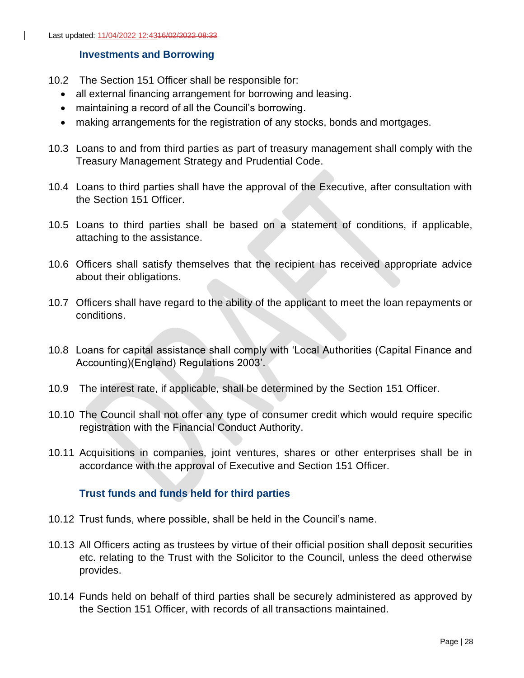$\mathbf{I}$ 

#### <span id="page-27-0"></span>**Investments and Borrowing**

- 10.2 The Section 151 Officer shall be responsible for:
	- all external financing arrangement for borrowing and leasing.
	- maintaining a record of all the Council's borrowing.
	- making arrangements for the registration of any stocks, bonds and mortgages.
- 10.3 Loans to and from third parties as part of treasury management shall comply with the Treasury Management Strategy and Prudential Code.
- 10.4 Loans to third parties shall have the approval of the Executive, after consultation with the Section 151 Officer.
- 10.5 Loans to third parties shall be based on a statement of conditions, if applicable, attaching to the assistance.
- 10.6 Officers shall satisfy themselves that the recipient has received appropriate advice about their obligations.
- 10.7 Officers shall have regard to the ability of the applicant to meet the loan repayments or conditions.
- 10.8 Loans for capital assistance shall comply with 'Local Authorities (Capital Finance and Accounting)(England) Regulations 2003'.
- 10.9 The interest rate, if applicable, shall be determined by the Section 151 Officer.
- 10.10 The Council shall not offer any type of consumer credit which would require specific registration with the Financial Conduct Authority.
- 10.11 Acquisitions in companies, joint ventures, shares or other enterprises shall be in accordance with the approval of Executive and Section 151 Officer.

#### <span id="page-27-1"></span>**Trust funds and funds held for third parties**

- 10.12 Trust funds, where possible, shall be held in the Council's name.
- 10.13 All Officers acting as trustees by virtue of their official position shall deposit securities etc. relating to the Trust with the Solicitor to the Council, unless the deed otherwise provides.
- 10.14 Funds held on behalf of third parties shall be securely administered as approved by the Section 151 Officer, with records of all transactions maintained.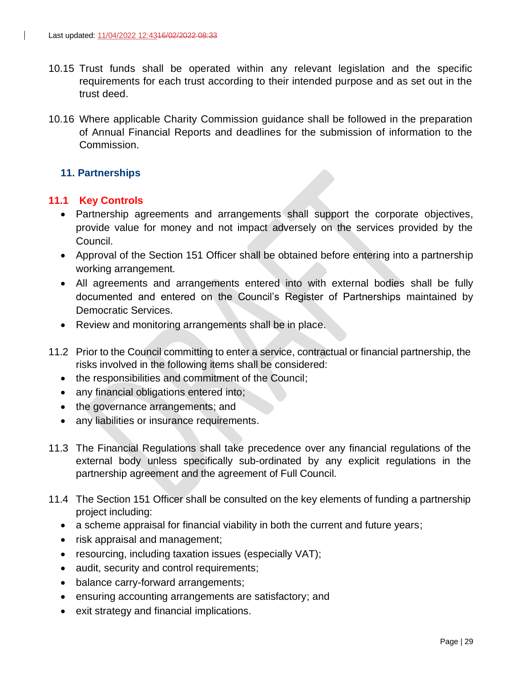- 10.15 Trust funds shall be operated within any relevant legislation and the specific requirements for each trust according to their intended purpose and as set out in the trust deed.
- 10.16 Where applicable Charity Commission guidance shall be followed in the preparation of Annual Financial Reports and deadlines for the submission of information to the Commission.

## <span id="page-28-0"></span>**11. Partnerships**

#### **11.1 Key Controls**

- Partnership agreements and arrangements shall support the corporate objectives, provide value for money and not impact adversely on the services provided by the Council.
- Approval of the Section 151 Officer shall be obtained before entering into a partnership working arrangement.
- All agreements and arrangements entered into with external bodies shall be fully documented and entered on the Council's Register of Partnerships maintained by Democratic Services.
- Review and monitoring arrangements shall be in place.
- 11.2 Prior to the Council committing to enter a service, contractual or financial partnership, the risks involved in the following items shall be considered:
	- the responsibilities and commitment of the Council;
	- any financial obligations entered into;
	- the governance arrangements; and
	- any liabilities or insurance requirements.
- 11.3 The Financial Regulations shall take precedence over any financial regulations of the external body unless specifically sub-ordinated by any explicit regulations in the partnership agreement and the agreement of Full Council.
- 11.4 The Section 151 Officer shall be consulted on the key elements of funding a partnership project including:
	- a scheme appraisal for financial viability in both the current and future years;
	- risk appraisal and management;
	- resourcing, including taxation issues (especially VAT);
	- audit, security and control requirements;
	- balance carry-forward arrangements;
	- ensuring accounting arrangements are satisfactory; and
	- exit strategy and financial implications.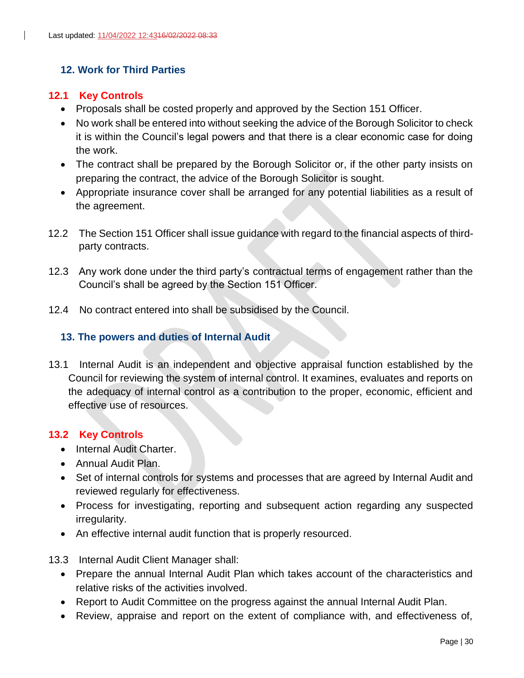## <span id="page-29-0"></span>**12. Work for Third Parties**

#### **12.1 Key Controls**

- Proposals shall be costed properly and approved by the Section 151 Officer.
- No work shall be entered into without seeking the advice of the Borough Solicitor to check it is within the Council's legal powers and that there is a clear economic case for doing the work.
- The contract shall be prepared by the Borough Solicitor or, if the other party insists on preparing the contract, the advice of the Borough Solicitor is sought.
- Appropriate insurance cover shall be arranged for any potential liabilities as a result of the agreement.
- 12.2 The Section 151 Officer shall issue guidance with regard to the financial aspects of thirdparty contracts.
- 12.3 Any work done under the third party's contractual terms of engagement rather than the Council's shall be agreed by the Section 151 Officer.
- 12.4 No contract entered into shall be subsidised by the Council.

## <span id="page-29-1"></span>**13. The powers and duties of Internal Audit**

13.1 Internal Audit is an independent and objective appraisal function established by the Council for reviewing the system of internal control. It examines, evaluates and reports on the adequacy of internal control as a contribution to the proper, economic, efficient and effective use of resources.

#### **13.2 Key Controls**

- Internal Audit Charter.
- Annual Audit Plan.
- Set of internal controls for systems and processes that are agreed by Internal Audit and reviewed regularly for effectiveness.
- Process for investigating, reporting and subsequent action regarding any suspected irregularity.
- An effective internal audit function that is properly resourced.
- 13.3 Internal Audit Client Manager shall:
	- Prepare the annual Internal Audit Plan which takes account of the characteristics and relative risks of the activities involved.
	- Report to Audit Committee on the progress against the annual Internal Audit Plan.
	- Review, appraise and report on the extent of compliance with, and effectiveness of,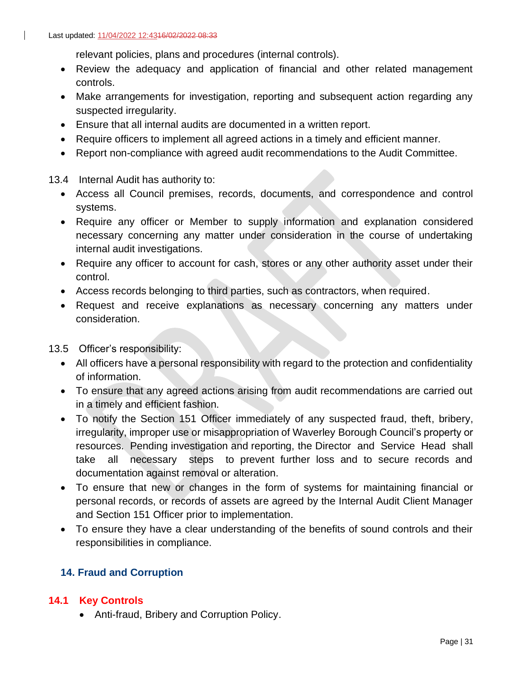relevant policies, plans and procedures (internal controls).

- Review the adequacy and application of financial and other related management controls.
- Make arrangements for investigation, reporting and subsequent action regarding any suspected irregularity.
- Ensure that all internal audits are documented in a written report.
- Require officers to implement all agreed actions in a timely and efficient manner.
- Report non-compliance with agreed audit recommendations to the Audit Committee.

13.4 Internal Audit has authority to:

- Access all Council premises, records, documents, and correspondence and control systems.
- Require any officer or Member to supply information and explanation considered necessary concerning any matter under consideration in the course of undertaking internal audit investigations.
- Require any officer to account for cash, stores or any other authority asset under their control.
- Access records belonging to third parties, such as contractors, when required.
- Request and receive explanations as necessary concerning any matters under consideration.
- 13.5 Officer's responsibility:
	- All officers have a personal responsibility with regard to the protection and confidentiality of information.
	- To ensure that any agreed actions arising from audit recommendations are carried out in a timely and efficient fashion.
	- To notify the Section 151 Officer immediately of any suspected fraud, theft, bribery, irregularity, improper use or misappropriation of Waverley Borough Council's property or resources. Pending investigation and reporting, the Director and Service Head shall take all necessary steps to prevent further loss and to secure records and documentation against removal or alteration.
	- To ensure that new or changes in the form of systems for maintaining financial or personal records, or records of assets are agreed by the Internal Audit Client Manager and Section 151 Officer prior to implementation.
	- To ensure they have a clear understanding of the benefits of sound controls and their responsibilities in compliance.

## <span id="page-30-0"></span>**14. Fraud and Corruption**

## **14.1 Key Controls**

• Anti-fraud, Bribery and Corruption Policy.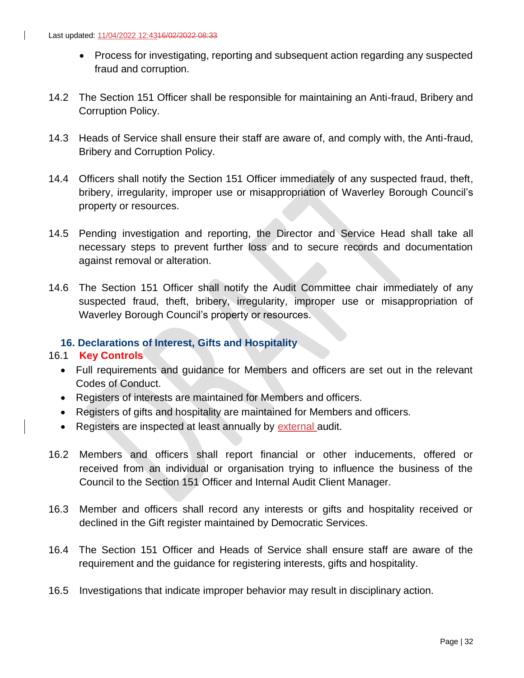- Process for investigating, reporting and subsequent action regarding any suspected fraud and corruption.
- 14.2 The Section 151 Officer shall be responsible for maintaining an Anti-fraud, Bribery and Corruption Policy.
- 14.3 Heads of Service shall ensure their staff are aware of, and comply with, the Anti-fraud, Bribery and Corruption Policy.
- 14.4 Officers shall notify the Section 151 Officer immediately of any suspected fraud, theft, bribery, irregularity, improper use or misappropriation of Waverley Borough Council's property or resources.
- 14.5 Pending investigation and reporting, the Director and Service Head shall take all necessary steps to prevent further loss and to secure records and documentation against removal or alteration.
- 14.6 The Section 151 Officer shall notify the Audit Committee chair immediately of any suspected fraud, theft, bribery, irregularity, improper use or misappropriation of Waverley Borough Council's property or resources.

## <span id="page-31-0"></span>**16. Declarations of Interest, Gifts and Hospitality**

#### 16.1 **Key Controls**

- Full requirements and guidance for Members and officers are set out in the relevant Codes of Conduct.
- Registers of interests are maintained for Members and officers.
- Registers of gifts and hospitality are maintained for Members and officers.
- Registers are inspected at least annually by external audit.
- 16.2 Members and officers shall report financial or other inducements, offered or received from an individual or organisation trying to influence the business of the Council to the Section 151 Officer and Internal Audit Client Manager.
- 16.3 Member and officers shall record any interests or gifts and hospitality received or declined in the Gift register maintained by Democratic Services.
- 16.4 The Section 151 Officer and Heads of Service shall ensure staff are aware of the requirement and the guidance for registering interests, gifts and hospitality.
- 16.5 Investigations that indicate improper behavior may result in disciplinary action.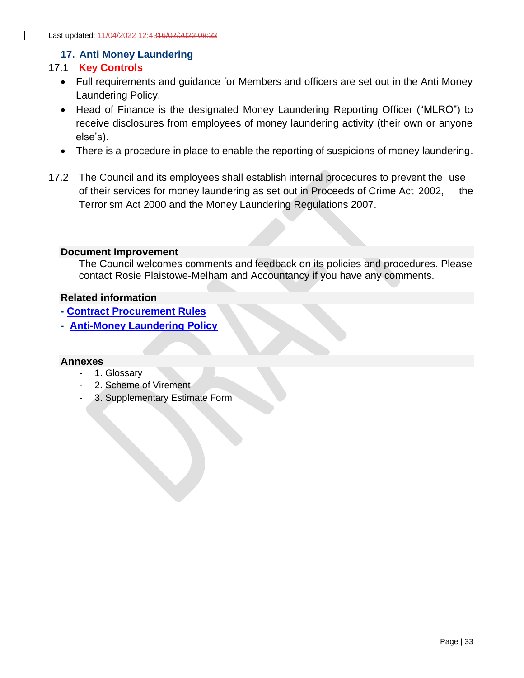## <span id="page-32-0"></span>**17. Anti Money Laundering**

## 17.1 **Key Controls**

- Full requirements and guidance for Members and officers are set out in the Anti Money Laundering Policy.
- Head of Finance is the designated Money Laundering Reporting Officer ("MLRO") to receive disclosures from employees of money laundering activity (their own or anyone else's).
- There is a procedure in place to enable the reporting of suspicions of money laundering.
- 17.2 The Council and its employees shall establish internal procedures to prevent the use of their services for money laundering as set out in Proceeds of Crime Act 2002, the Terrorism Act 2000 and the Money Laundering Regulations 2007.

#### <span id="page-32-1"></span>**Document Improvement**

The Council welcomes comments and feedback on its policies and procedures. Please contact Rosie Plaistowe-Melham and Accountancy if you have any comments.

#### <span id="page-32-2"></span>**Related information**

- <span id="page-32-3"></span>**- [Contract Procurement Rules](https://www.waverley.gov.uk/Portals/0/Documents/services/business-and-licensing/doing-business-with-the-council/Contract%20Procurement%20Rules%20-%20CPRs%20-%20February%202020.pdf?ver=ZxL7zm8o1kCzig3OBdNHjQ%3d%3d)**
- <span id="page-32-4"></span>**- [Anti-Money Laundering Policy](https://waverleybc.sharepoint.com/:b:/r/sites/corppolicy/corppol/Anti%20Money%20Laundering%20Policy.pdf?csf=1&web=1&e=ARjWxF)**

#### <span id="page-32-5"></span>**Annexes**

- 1. Glossary
- 2. Scheme of Virement
- 3. Supplementary Estimate Form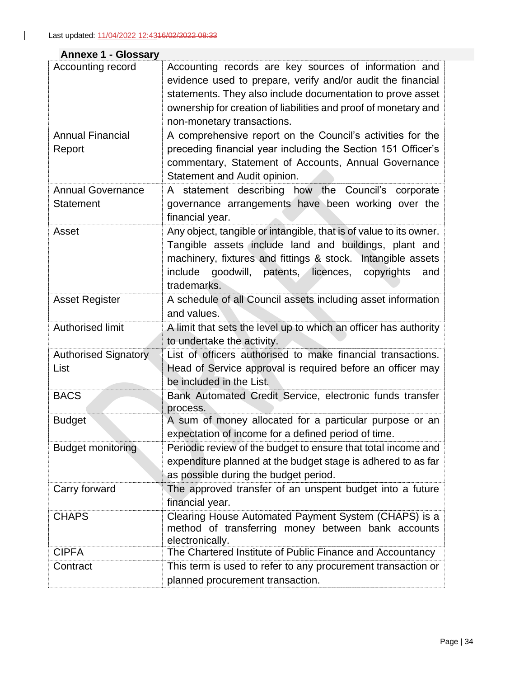# <span id="page-33-0"></span>**Annexe 1 - Glossary**

 $\mathbf{L}$ 

| Accounting record           | Accounting records are key sources of information and                        |  |  |
|-----------------------------|------------------------------------------------------------------------------|--|--|
|                             | evidence used to prepare, verify and/or audit the financial                  |  |  |
|                             | statements. They also include documentation to prove asset                   |  |  |
|                             | ownership for creation of liabilities and proof of monetary and              |  |  |
|                             | non-monetary transactions.                                                   |  |  |
| <b>Annual Financial</b>     | A comprehensive report on the Council's activities for the                   |  |  |
| Report                      | preceding financial year including the Section 151 Officer's                 |  |  |
|                             | commentary, Statement of Accounts, Annual Governance                         |  |  |
|                             | Statement and Audit opinion.                                                 |  |  |
| <b>Annual Governance</b>    | A statement describing how the Council's corporate                           |  |  |
| <b>Statement</b>            | governance arrangements have been working over the                           |  |  |
|                             | financial year.                                                              |  |  |
| Asset                       | Any object, tangible or intangible, that is of value to its owner.           |  |  |
|                             | Tangible assets include land and buildings, plant and                        |  |  |
|                             | machinery, fixtures and fittings & stock. Intangible assets                  |  |  |
|                             | include<br>goodwill, patents, licences, copyrights<br>and                    |  |  |
|                             | trademarks.                                                                  |  |  |
| <b>Asset Register</b>       | A schedule of all Council assets including asset information                 |  |  |
|                             | and values.                                                                  |  |  |
| Authorised limit            | A limit that sets the level up to which an officer has authority             |  |  |
|                             | to undertake the activity.                                                   |  |  |
| <b>Authorised Signatory</b> | List of officers authorised to make financial transactions.                  |  |  |
| List                        | Head of Service approval is required before an officer may                   |  |  |
|                             | be included in the List.                                                     |  |  |
| <b>BACS</b>                 | Bank Automated Credit Service, electronic funds transfer<br>process.         |  |  |
| <b>Budget</b>               | A sum of money allocated for a particular purpose or an                      |  |  |
|                             | expectation of income for a defined period of time.                          |  |  |
| Budget monitoring           | Periodic review of the budget to ensure that total income and                |  |  |
|                             | expenditure planned at the budget stage is adhered to as far                 |  |  |
|                             | as possible during the budget period.                                        |  |  |
| Carry forward               | The approved transfer of an unspent budget into a future                     |  |  |
|                             | financial year.                                                              |  |  |
| <b>CHAPS</b>                | Clearing House Automated Payment System (CHAPS) is a                         |  |  |
|                             | method of transferring money between bank accounts                           |  |  |
| <b>CIPFA</b>                | electronically.<br>The Chartered Institute of Public Finance and Accountancy |  |  |
| Contract                    | This term is used to refer to any procurement transaction or                 |  |  |
|                             | planned procurement transaction.                                             |  |  |
|                             |                                                                              |  |  |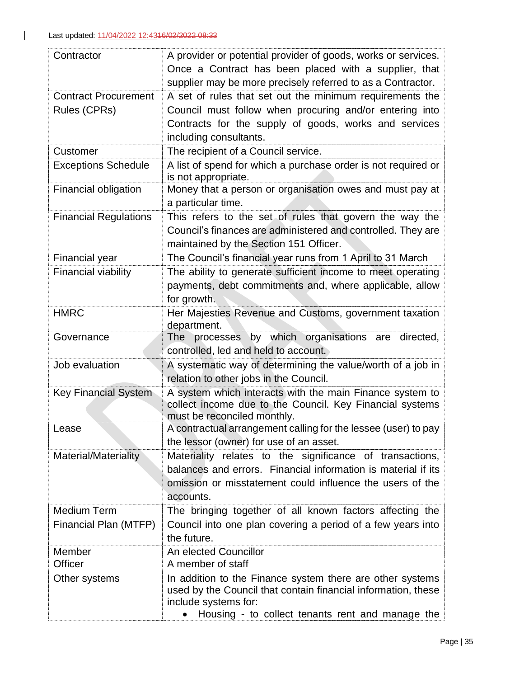| Contractor                   | A provider or potential provider of goods, works or services.                                                                                       |
|------------------------------|-----------------------------------------------------------------------------------------------------------------------------------------------------|
|                              | Once a Contract has been placed with a supplier, that                                                                                               |
|                              | supplier may be more precisely referred to as a Contractor.                                                                                         |
| <b>Contract Procurement</b>  | A set of rules that set out the minimum requirements the                                                                                            |
| Rules (CPRs)                 | Council must follow when procuring and/or entering into                                                                                             |
|                              | Contracts for the supply of goods, works and services                                                                                               |
|                              | including consultants.                                                                                                                              |
| Customer                     | The recipient of a Council service.                                                                                                                 |
| <b>Exceptions Schedule</b>   | A list of spend for which a purchase order is not required or<br>is not appropriate.                                                                |
| Financial obligation         | Money that a person or organisation owes and must pay at<br>a particular time.                                                                      |
| <b>Financial Regulations</b> | This refers to the set of rules that govern the way the                                                                                             |
|                              | Council's finances are administered and controlled. They are<br>maintained by the Section 151 Officer.                                              |
|                              |                                                                                                                                                     |
| Financial year               | The Council's financial year runs from 1 April to 31 March                                                                                          |
| <b>Financial viability</b>   | The ability to generate sufficient income to meet operating<br>payments, debt commitments and, where applicable, allow                              |
|                              | for growth.                                                                                                                                         |
| <b>HMRC</b>                  | Her Majesties Revenue and Customs, government taxation                                                                                              |
|                              | department.                                                                                                                                         |
| Governance                   | processes by which organisations are directed,<br>The                                                                                               |
|                              | controlled, led and held to account.                                                                                                                |
| Job evaluation               | A systematic way of determining the value/worth of a job in                                                                                         |
|                              | relation to other jobs in the Council.                                                                                                              |
| <b>Key Financial System</b>  | A system which interacts with the main Finance system to<br>collect income due to the Council. Key Financial systems<br>must be reconciled monthly. |
| .ease                        | A contractual arrangement calling for the lessee (user) to pay                                                                                      |
|                              | the lessor (owner) for use of an asset.                                                                                                             |
| Material/Materiality         | Materiality relates to the significance of transactions,                                                                                            |
|                              | balances and errors. Financial information is material if its                                                                                       |
|                              | omission or misstatement could influence the users of the                                                                                           |
|                              | accounts.                                                                                                                                           |
| <b>Medium Term</b>           | The bringing together of all known factors affecting the                                                                                            |
| Financial Plan (MTFP)        | Council into one plan covering a period of a few years into                                                                                         |
|                              | the future.                                                                                                                                         |
| Member                       | An elected Councillor                                                                                                                               |
| Officer                      | A member of staff                                                                                                                                   |
| Other systems                | In addition to the Finance system there are other systems                                                                                           |
|                              | used by the Council that contain financial information, these<br>include systems for:                                                               |
|                              | Housing - to collect tenants rent and manage the                                                                                                    |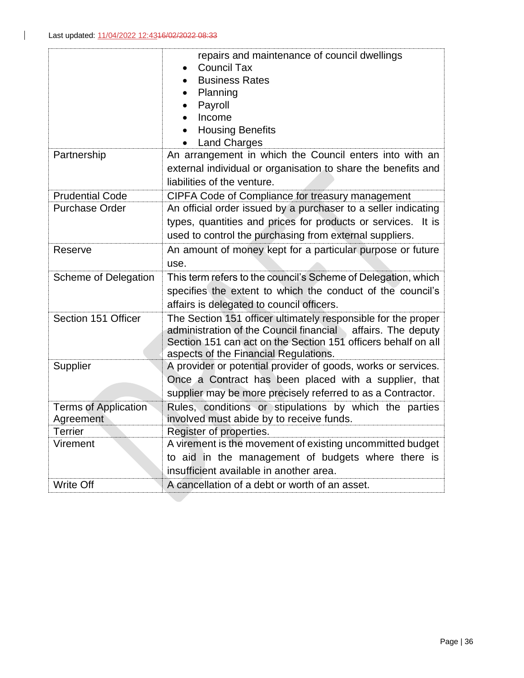|                             | repairs and maintenance of council dwellings                   |
|-----------------------------|----------------------------------------------------------------|
|                             | <b>Council Tax</b><br>$\bullet$                                |
|                             | <b>Business Rates</b>                                          |
|                             | Planning                                                       |
|                             | Payroll                                                        |
|                             | Income                                                         |
|                             | <b>Housing Benefits</b>                                        |
|                             | <b>Land Charges</b>                                            |
| Partnership                 | An arrangement in which the Council enters into with an        |
|                             | external individual or organisation to share the benefits and  |
|                             | liabilities of the venture.                                    |
| <b>Prudential Code</b>      | CIPFA Code of Compliance for treasury management               |
| <b>Purchase Order</b>       | An official order issued by a purchaser to a seller indicating |
|                             | types, quantities and prices for products or services. It is   |
|                             | used to control the purchasing from external suppliers.        |
| Reserve                     | An amount of money kept for a particular purpose or future     |
|                             | use.                                                           |
| Scheme of Delegation        | This term refers to the council's Scheme of Delegation, which  |
|                             | specifies the extent to which the conduct of the council's     |
|                             | affairs is delegated to council officers.                      |
| Section 151 Officer         | The Section 151 officer ultimately responsible for the proper  |
|                             | administration of the Council financial affairs. The deputy    |
|                             | Section 151 can act on the Section 151 officers behalf on all  |
|                             | aspects of the Financial Regulations.                          |
| Supplier                    | A provider or potential provider of goods, works or services.  |
|                             | Once a Contract has been placed with a supplier, that          |
|                             | supplier may be more precisely referred to as a Contractor.    |
| <b>Terms of Application</b> | Rules, conditions or stipulations by which the parties         |
| Agreement                   | involved must abide by to receive funds.                       |
| <b>Terrier</b>              | Register of properties.                                        |
| Virement                    | A virement is the movement of existing uncommitted budget      |
|                             | to aid in the management of budgets where there is             |
|                             | insufficient available in another area.                        |
| Write Off                   | A cancellation of a debt or worth of an asset.                 |
|                             |                                                                |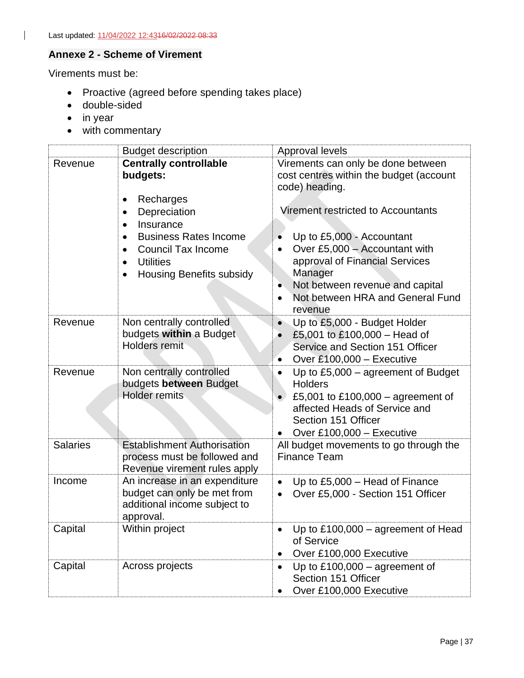# <span id="page-36-0"></span>**Annexe 2 - Scheme of Virement**

Virements must be:

- Proactive (agreed before spending takes place)
- double-sided
- in year
- with commentary

|                 | <b>Budget description</b>                                                                                                                                                                                                                                                     | Approval levels                                                                                                                                                                                                                                                                                                         |
|-----------------|-------------------------------------------------------------------------------------------------------------------------------------------------------------------------------------------------------------------------------------------------------------------------------|-------------------------------------------------------------------------------------------------------------------------------------------------------------------------------------------------------------------------------------------------------------------------------------------------------------------------|
| Revenue         | <b>Centrally controllable</b><br>budgets:<br>Recharges<br>$\bullet$<br>Depreciation<br>٠<br>Insurance<br>$\bullet$<br><b>Business Rates Income</b><br><b>Council Tax Income</b><br>$\bullet$<br><b>Utilities</b><br>$\bullet$<br><b>Housing Benefits subsidy</b><br>$\bullet$ | Virements can only be done between<br>cost centres within the budget (account<br>code) heading.<br>Virement restricted to Accountants<br>Up to £5,000 - Accountant<br>Over £5,000 - Accountant with<br>approval of Financial Services<br>Manager<br>Not between revenue and capital<br>Not between HRA and General Fund |
| Revenue         | Non centrally controlled<br>budgets within a Budget<br><b>Holders remit</b>                                                                                                                                                                                                   | revenue<br>Up to £5,000 - Budget Holder<br>£5,001 to £100,000 - Head of<br>Service and Section 151 Officer<br>Over £100,000 - Executive<br>$\bullet$                                                                                                                                                                    |
| Revenue         | Non centrally controlled<br>budgets between Budget<br><b>Holder remits</b>                                                                                                                                                                                                    | Up to $£5,000$ – agreement of Budget<br><b>Holders</b><br>£5,001 to £100,000 – agreement of<br>$\bullet$<br>affected Heads of Service and<br>Section 151 Officer<br>Over £100,000 $-$ Executive                                                                                                                         |
| <b>Salaries</b> | <b>Establishment Authorisation</b><br>process must be followed and<br>Revenue virement rules apply                                                                                                                                                                            | All budget movements to go through the<br><b>Finance Team</b>                                                                                                                                                                                                                                                           |
| Income          | An increase in an expenditure<br>budget can only be met from<br>additional income subject to<br>approval.                                                                                                                                                                     | Up to £5,000 - Head of Finance<br>$\bullet$<br>Over £5,000 - Section 151 Officer<br>$\bullet$                                                                                                                                                                                                                           |
| Capital         | Within project                                                                                                                                                                                                                                                                | Up to $£100,000 -$ agreement of Head<br>of Service<br>Over £100,000 Executive                                                                                                                                                                                                                                           |
| Capital         | Across projects                                                                                                                                                                                                                                                               | Up to $£100,000 -$ agreement of<br>Section 151 Officer<br>Over £100,000 Executive                                                                                                                                                                                                                                       |